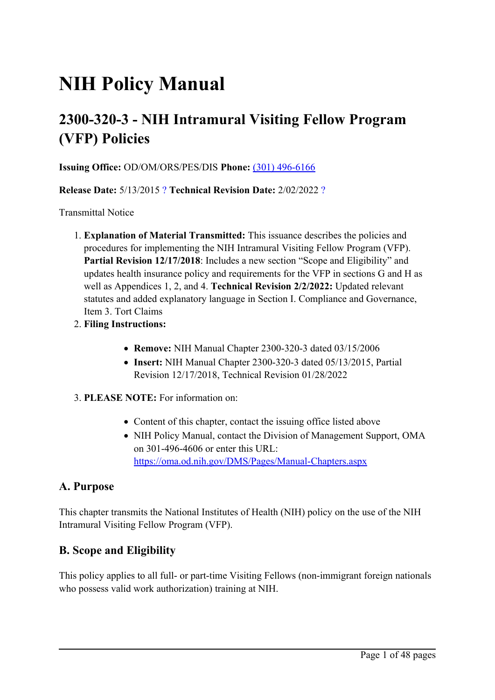# **NIH Policy Manual**

## **2300-320-3 - NIH Intramural Visiting Fellow Program (VFP) Policies**

**Issuing Office:** OD/OM/ORS/PES/DIS **Phone:** (301) [496-6166](tel:(301) 496-6166)

**Release Date:** 5/13/2015 [?](javascript:void(0);) **Technical Revision Date:** 2/02/2022 [?](javascript:void(0);)

Transmittal Notice

- 1. **Explanation of Material Transmitted:** This issuance describes the policies and procedures for implementing the NIH Intramural Visiting Fellow Program (VFP). **Partial Revision 12/17/2018**: Includes <sup>a</sup> new section "Scope and Eligibility" and updates health insurance policy and requirements for the VFP in sections G and H as well as Appendices 1, 2, and 4. **Technical Revision 2/2/2022:** Updated relevant statutes and added explanatory language in Section I. Compliance and Governance, Item 3. Tort Claims
- 2. **Filing Instructions:**
	- **Remove:** NIH Manual Chapter 2300-320-3 dated 03/15/2006
	- **Insert:** NIH Manual Chapter 2300-320-3 dated 05/13/2015, Partial Revision 12/17/2018, Technical Revision 01/28/2022
- 3. **PLEASE NOTE:** For information on:
	- Content of this chapter, contact the issuing office listed above
	- NIH Policy Manual, contact the Division of Management Support, OMA on 301-496-4606 or enter this URL: <https://oma.od.nih.gov/DMS/Pages/Manual-Chapters.aspx>

#### **A. Purpose**

This chapter transmits the National Institutes of Health (NIH) policy on the use of the NIH Intramural Visiting Fellow Program (VFP).

#### **B. Scope and Eligibility**

This policy applies to all full- or part-time Visiting Fellows (non-immigrant foreign nationals who possess valid work authorization) training at NIH.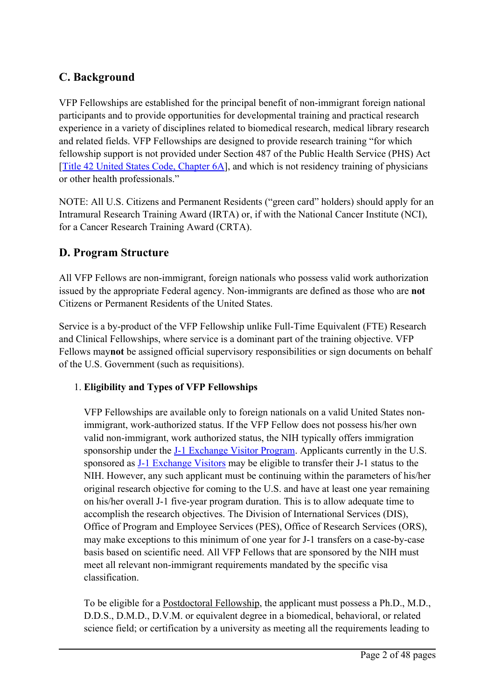## **C. Background**

VFP Fellowships are established for the principal benefit of non-immigrant foreign national participants and to provide opportunities for developmental training and practical research experience in <sup>a</sup> variety of disciplines related to biomedical research, medical library research and related fields. VFP Fellowships are designed to provide research training "for which fellowship suppor<sup>t</sup> is not provided under Section 487 of the Public Health Service (PHS) Act [Title 42 United States Code, [Chapter](http://www.gpo.gov/fdsys/browse/collectionUScode.action?collectionCode=USCODE) 6A], and which is not residency training of physicians or other health professionals."

NOTE: All U.S. Citizens and Permanent Residents ("green card" holders) should apply for an Intramural Research Training Award (IRTA) or, if with the National Cancer Institute (NCI), for <sup>a</sup> Cancer Research Training Award (CRTA).

## **D. Program Structure**

All VFP Fellows are non-immigrant, foreign nationals who possess valid work authorization issued by the appropriate Federal agency. Non-immigrants are defined as those who are **not** Citizens or Permanent Residents of the United States.

Service is <sup>a</sup> by-product of the VFP Fellowship unlike Full-Time Equivalent (FTE) Research and Clinical Fellowships, where service is <sup>a</sup> dominant par<sup>t</sup> of the training objective. VFP Fellows may**not** be assigned official supervisory responsibilities or sign documents on behalf of the U.S. Government (such as requisitions).

#### 1. **Eligibility and Types of VFP Fellowships**

VFP Fellowships are available only to foreign nationals on <sup>a</sup> valid United States nonimmigrant, work-authorized status. If the VFP Fellow does not possess his/her own valid non-immigrant, work authorized status, the NIH typically offers immigration sponsorship under the J-1 [Exchange](https://www.ors.od.nih.gov/pes/dis/AboutDIS/Pages/FAQs.aspx) Visitor Program. Applicants currently in the U.S. sponsored as J-1 [Exchange](https://www.ors.od.nih.gov/pes/dis/AboutDIS/Pages/FAQs.aspx) Visitors may be eligible to transfer their J-1 status to the NIH. However, any such applicant must be continuing within the parameters of his/her original research objective for coming to the U.S. and have at least one year remaining on his/her overall J-1 five-year program duration. This is to allow adequate time to accomplish the research objectives. The Division of International Services (DIS), Office of Program and Employee Services (PES), Office of Research Services (ORS), may make exceptions to this minimum of one year for J-1 transfers on <sup>a</sup> case-by-case basis based on scientific need. All VFP Fellows that are sponsored by the NIH must meet all relevant non-immigrant requirements mandated by the specific visa classification.

To be eligible for <sup>a</sup> Postdoctoral Fellowship, the applicant must possess <sup>a</sup> Ph.D., M.D., D.D.S., D.M.D., D.V.M. or equivalent degree in <sup>a</sup> biomedical, behavioral, or related science field; or certification by <sup>a</sup> university as meeting all the requirements leading to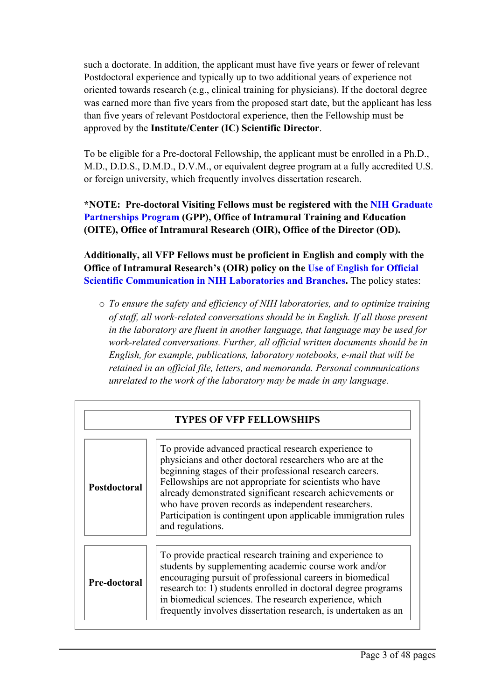such <sup>a</sup> doctorate. In addition, the applicant must have five years or fewer of relevant Postdoctoral experience and typically up to two additional years of experience not oriented towards research (e.g., clinical training for physicians). If the doctoral degree was earned more than five years from the proposed start date, but the applicant has less than five years of relevant Postdoctoral experience, then the Fellowship must be approved by the **Institute/Center (IC) Scientific Director**.

To be eligible for <sup>a</sup> Pre-doctoral Fellowship, the applicant must be enrolled in <sup>a</sup> Ph.D., M.D., D.D.S., D.M.D., D.V.M., or equivalent degree program at <sup>a</sup> fully accredited U.S. or foreign university, which frequently involves dissertation research.

**\*NOTE: Pre-doctoral Visiting Fellows must be registered with the NIH [Graduate](https://www.training.nih.gov/programs/gpp) [Partnerships](https://www.training.nih.gov/programs/gpp) Program (GPP), Office of Intramural Training and Education (OITE), Office of Intramural Research (OIR), Office of the Director (OD).**

**Additionally, all VFP Fellows must be proficient in English and comply with the Office of Intramural Research'<sup>s</sup> (OIR) policy on the Use of [English](https://oir.nih.gov/sourcebook/personnel/recruitment-processes-policies-checklists/policy-use-english-official-scientific-communication-nih-laboratories) for Official Scientific [Communication](https://oir.nih.gov/sourcebook/personnel/recruitment-processes-policies-checklists/policy-use-english-official-scientific-communication-nih-laboratories) in NIH Laboratories and Branches.** The policy states:

<sup>o</sup> *To ensure the safety and efficiency of NIH laboratories, and to optimize training of staff, all work-related conversations should be in English. If all those presen<sup>t</sup> in the laboratory are fluent in another language, that language may be used for work-related conversations. Further, all official written documents should be in English, for example, publications, laboratory notebooks, e-mail that will be retained in an official file, letters, and memoranda. Personal communications unrelated to the work of the laboratory may be made in any language.*

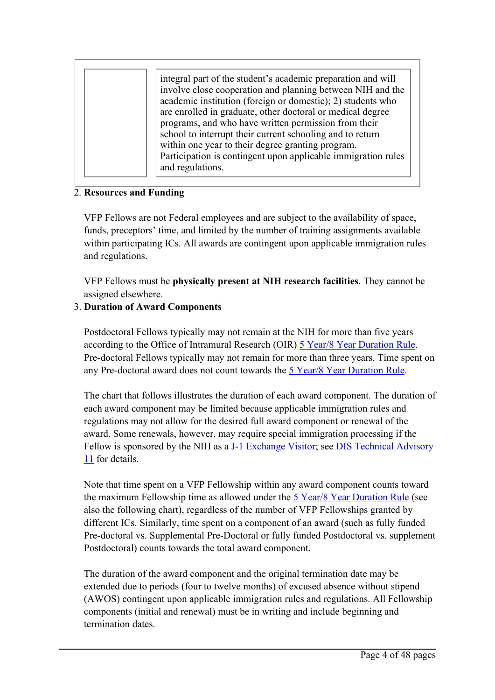|  | integral part of the student's academic preparation and will<br>involve close cooperation and planning between NIH and the<br>academic institution (foreign or domestic); 2) students who<br>are enrolled in graduate, other doctoral or medical degree<br>programs, and who have written permission from their<br>school to interrupt their current schooling and to return<br>within one year to their degree granting program.<br>Participation is contingent upon applicable immigration rules<br>and regulations. |
|--|------------------------------------------------------------------------------------------------------------------------------------------------------------------------------------------------------------------------------------------------------------------------------------------------------------------------------------------------------------------------------------------------------------------------------------------------------------------------------------------------------------------------|
|--|------------------------------------------------------------------------------------------------------------------------------------------------------------------------------------------------------------------------------------------------------------------------------------------------------------------------------------------------------------------------------------------------------------------------------------------------------------------------------------------------------------------------|

#### 2. **Resources and Funding**

VFP Fellows are not Federal employees and are subject to the availability of space, funds, preceptors' time, and limited by the number of training assignments available within participating ICs. All awards are contingent upon applicable immigration rules and regulations.

VFP Fellows must be **physically presen<sup>t</sup> at NIH research facilities**. They cannot be assigned elsewhere.

#### 3. **Duration of Award Components**

Postdoctoral Fellows typically may not remain at the NIH for more than five years according to the Office of Intramural Research (OIR) 5 Year/8 Year [Duration](https://oir.nih.gov/sourcebook/personnel/recruitment-processes-policies-checklists/5-year-8-year-duration-rule) Rule. Pre-doctoral Fellows typically may not remain for more than three years. Time spen<sup>t</sup> on any Pre-doctoral award does not count towards the 5 Year/8 Year [Duration](https://oir.nih.gov/sourcebook/personnel/recruitment-processes-policies-checklists/5-year-8-year-duration-rule) Rule.

The chart that follows illustrates the duration of each award component. The duration of each award componen<sup>t</sup> may be limited because applicable immigration rules and regulations may not allow for the desired full award componen<sup>t</sup> or renewal of the award. Some renewals, however, may require special immigration processing if the Fellow is sponsored by the NIH as a **J-1 [Exchange](https://www.ors.od.nih.gov/pes/dis/AboutDIS/Pages/FAQs.aspx) Visitor**; see **DIS Technical [Advisory](https://www.ors.od.nih.gov/pes/dis/AdministrativeStaff/Documents/technicaladvisory11.pdf)** [11](https://www.ors.od.nih.gov/pes/dis/AdministrativeStaff/Documents/technicaladvisory11.pdf) for details.

Note that time spen<sup>t</sup> on <sup>a</sup> VFP Fellowship within any award componen<sup>t</sup> counts toward the maximum Fellowship time as allowed under the 5 Year/8 Year [Duration](https://oir.nih.gov/sourcebook/personnel/recruitment-processes-policies-checklists/5-year-8-year-duration-rule) Rule (see also the following chart), regardless of the number of VFP Fellowships granted by different ICs. Similarly, time spen<sup>t</sup> on <sup>a</sup> componen<sup>t</sup> of an award (such as fully funded Pre-doctoral vs. Supplemental Pre-Doctoral or fully funded Postdoctoral vs. supplement Postdoctoral) counts towards the total award component.

The duration of the award componen<sup>t</sup> and the original termination date may be extended due to periods (four to twelve months) of excused absence without stipend (AWOS) contingent upon applicable immigration rules and regulations. All Fellowship components (initial and renewal) must be in writing and include beginning and termination dates.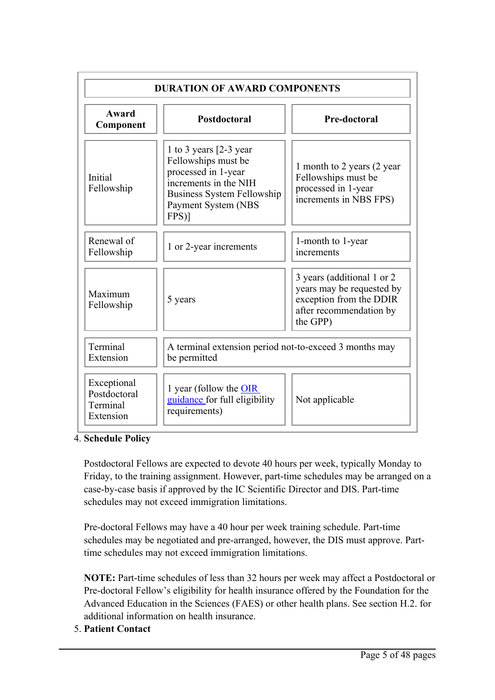| <b>DURATION OF AWARD COMPONENTS</b>                  |                                                                                                                                                                      |                                                                                                                           |  |  |  |  |  |
|------------------------------------------------------|----------------------------------------------------------------------------------------------------------------------------------------------------------------------|---------------------------------------------------------------------------------------------------------------------------|--|--|--|--|--|
| Award<br>Component                                   | <b>Postdoctoral</b>                                                                                                                                                  | Pre-doctoral                                                                                                              |  |  |  |  |  |
| Initial<br>Fellowship                                | 1 to 3 years $[2-3$ year<br>Fellowships must be<br>processed in 1-year<br>increments in the NIH<br><b>Business System Fellowship</b><br>Payment System (NBS<br>FPS)] | 1 month to 2 years (2 year)<br>Fellowships must be<br>processed in 1-year<br>increments in NBS FPS)                       |  |  |  |  |  |
| Renewal of<br>Fellowship                             | 1 or 2-year increments                                                                                                                                               | 1-month to 1-year<br>increments                                                                                           |  |  |  |  |  |
| Maximum<br>Fellowship                                | 5 years                                                                                                                                                              | 3 years (additional 1 or 2<br>years may be requested by<br>exception from the DDIR<br>after recommendation by<br>the GPP) |  |  |  |  |  |
| Terminal<br>Extension                                | A terminal extension period not-to-exceed 3 months may<br>be permitted                                                                                               |                                                                                                                           |  |  |  |  |  |
| Exceptional<br>Postdoctoral<br>Terminal<br>Extension | 1 year (follow the OIR<br>guidance for full eligibility<br>requirements)                                                                                             | Not applicable                                                                                                            |  |  |  |  |  |

4. **Schedule Policy**

Postdoctoral Fellows are expected to devote 40 hours per week, typically Monday to Friday, to the training assignment. However, part-time schedules may be arranged on <sup>a</sup> case-by-case basis if approved by the IC Scientific Director and DIS. Part-time schedules may not exceed immigration limitations.

Pre-doctoral Fellows may have <sup>a</sup> 40 hour per week training schedule. Part-time schedules may be negotiated and pre-arranged, however, the DIS must approve. Parttime schedules may not exceed immigration limitations.

**NOTE:** Part-time schedules of less than 32 hours per week may affect <sup>a</sup> Postdoctoral or Pre-doctoral Fellow'<sup>s</sup> eligibility for health insurance offered by the Foundation for the Advanced Education in the Sciences (FAES) or other health plans. See section H.2. for additional information on health insurance.

#### 5. **Patient Contact**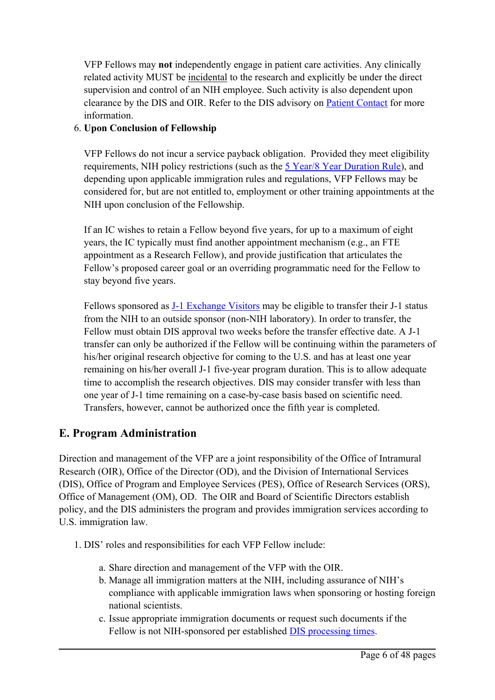VFP Fellows may **not** independently engage in patient care activities. Any clinically related activity MUST be incidental to the research and explicitly be under the direct supervision and control of an NIH employee. Such activity is also dependent upon clearance by the DIS and OIR. Refer to the DIS advisory on Patient [Contact](https://www.ors.od.nih.gov/pes/dis/AdministrativeStaff/Pages/FullPatientContact.aspx) for more information.

#### 6. **Upon Conclusion of Fellowship**

VFP Fellows do not incur <sup>a</sup> service payback obligation. Provided they meet eligibility requirements, NIH policy restrictions (such as the 5 Year/8 Year [Duration](https://oir.nih.gov/sourcebook/personnel/recruitment-processes-policies-checklists/5-year-8-year-duration-rule) Rule), and depending upon applicable immigration rules and regulations, VFP Fellows may be considered for, but are not entitled to, employment or other training appointments at the NIH upon conclusion of the Fellowship.

If an IC wishes to retain <sup>a</sup> Fellow beyond five years, for up to <sup>a</sup> maximum of eight years, the IC typically must find another appointment mechanism (e.g., an FTE appointment as <sup>a</sup> Research Fellow), and provide justification that articulates the Fellow'<sup>s</sup> proposed career goal or an overriding programmatic need for the Fellow to stay beyond five years.

Fellows sponsored as J-1 [Exchange](https://www.ors.od.nih.gov/pes/dis/AboutDIS/Pages/FAQs.aspx) Visitors may be eligible to transfer their J-1 status from the NIH to an outside sponsor (non-NIH laboratory). In order to transfer, the Fellow must obtain DIS approval two weeks before the transfer effective date. A J-1 transfer can only be authorized if the Fellow will be continuing within the parameters of his/her original research objective for coming to the U.S. and has at least one year remaining on his/her overall J-1 five-year program duration. This is to allow adequate time to accomplish the research objectives. DIS may consider transfer with less than one year of J-1 time remaining on <sup>a</sup> case-by-case basis based on scientific need. Transfers, however, cannot be authorized once the fifth year is completed.

## **E. Program Administration**

Direction and managemen<sup>t</sup> of the VFP are <sup>a</sup> joint responsibility of the Office of Intramural Research (OIR), Office of the Director (OD), and the Division of International Services (DIS), Office of Program and Employee Services (PES), Office of Research Services (ORS), Office of Management (OM), OD. The OIR and Board of Scientific Directors establish policy, and the DIS administers the program and provides immigration services according to U.S. immigration law.

- 1. DIS' roles and responsibilities for each VFP Fellow include:
	- a. Share direction and managemen<sup>t</sup> of the VFP with the OIR.
	- b. Manage all immigration matters at the NIH, including assurance of NIH'<sup>s</sup> compliance with applicable immigration laws when sponsoring or hosting foreign national scientists.
	- c. Issue appropriate immigration documents or reques<sup>t</sup> such documents if the Fellow is not NIH-sponsored per established **DIS** [process](https://www.ors.od.nih.gov/pes/dis/AdministrativeStaff/Pages/DISProcessingTimeChart.aspx)ing times.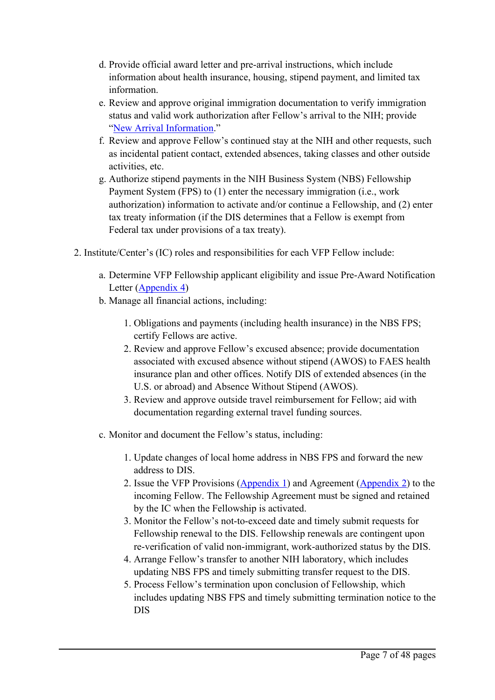- d. Provide official award letter and pre-arrival instructions, which include information about health insurance, housing, stipend payment, and limited tax information.
- e. Review and approve original immigration documentation to verify immigration status and valid work authorization after Fellow'<sup>s</sup> arrival to the NIH; provide "New Arrival [Information](https://www.ors.od.nih.gov/pes/dis/VisitingScientists/Pages/ArrivingFromOutsideUS.aspx)."
- f. Review and approve Fellow'<sup>s</sup> continued stay at the NIH and other requests, such as incidental patient contact, extended absences, taking classes and other outside activities, etc.
- g. Authorize stipend payments in the NIH Business System (NBS) Fellowship Payment System (FPS) to (1) enter the necessary immigration (i.e., work authorization) information to activate and/or continue <sup>a</sup> Fellowship, and (2) enter tax treaty information (if the DIS determines that <sup>a</sup> Fellow is exemp<sup>t</sup> from Federal tax under provisions of <sup>a</sup> tax treaty).
- 2. Institute/Center'<sup>s</sup> (IC) roles and responsibilities for each VFP Fellow include:
	- a. Determine VFP Fellowship applicant eligibility and issue Pre-Award Notification Letter (Appendix 4)
	- b. Manage all financial actions, including:
		- 1. Obligations and payments (including health insurance) in the NBS FPS; certify Fellows are active.
		- 2. Review and approve Fellow'<sup>s</sup> excused absence; provide documentation associated with excused absence without stipend (AWOS) to FAES health insurance plan and other offices. Notify DIS of extended absences (in the U.S. or abroad) and Absence Without Stipend (AWOS).
		- 3. Review and approve outside travel reimbursement for Fellow; aid with documentation regarding external travel funding sources.
	- c. Monitor and document the Fellow'<sup>s</sup> status, including:
		- 1. Update changes of local home address in NBS FPS and forward the new address to DIS.
		- 2. Issue the VFP Provisions (Appendix 1) and Agreement (Appendix 2) to the incoming Fellow. The Fellowship Agreement must be signed and retained by the IC when the Fellowship is activated.
		- 3. Monitor the Fellow'<sup>s</sup> not-to-exceed date and timely submit requests for Fellowship renewal to the DIS. Fellowship renewals are contingent upon re-verification of valid non-immigrant, work-authorized status by the DIS.
		- 4. Arrange Fellow'<sup>s</sup> transfer to another NIH laboratory, which includes updating NBS FPS and timely submitting transfer reques<sup>t</sup> to the DIS.
		- 5. Process Fellow'<sup>s</sup> termination upon conclusion of Fellowship, which includes updating NBS FPS and timely submitting termination notice to the DIS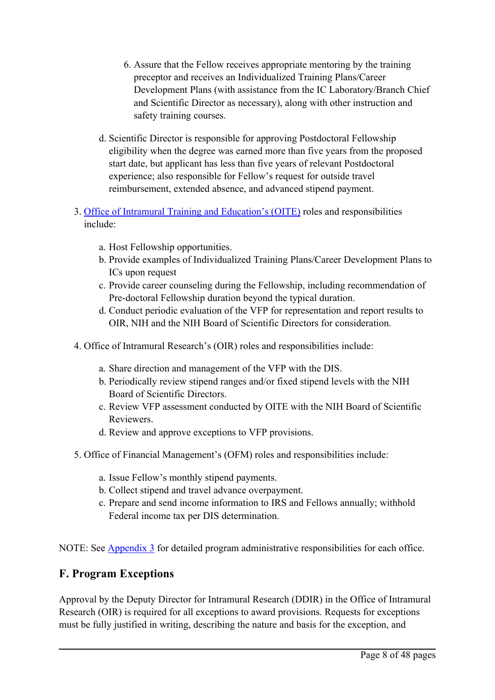- 6. Assure that the Fellow receives appropriate mentoring by the training preceptor and receives an Individualized Training Plans/Career Development Plans (with assistance from the IC Laboratory/Branch Chief and Scientific Director as necessary), along with other instruction and safety training courses.
- d. Scientific Director is responsible for approving Postdoctoral Fellowship eligibility when the degree was earned more than five years from the proposed start date, but applicant has less than five years of relevant Postdoctoral experience; also responsible for Fellow'<sup>s</sup> reques<sup>t</sup> for outside travel reimbursement, extended absence, and advanced stipend payment.
- 3. Office of Intramural [Training](https://www.training.nih.gov/) and Education'<sup>s</sup> (OITE) roles and responsibilities include:
	- a. Host Fellowship opportunities.
	- b. Provide examples of Individualized Training Plans/Career Development Plans to ICs upon reques<sup>t</sup>
	- c. Provide career counseling during the Fellowship, including recommendation of Pre-doctoral Fellowship duration beyond the typical duration.
	- d. Conduct periodic evaluation of the VFP for representation and repor<sup>t</sup> results to OIR, NIH and the NIH Board of Scientific Directors for consideration.
- 4. Office of Intramural Research'<sup>s</sup> (OIR) roles and responsibilities include:
	- a. Share direction and managemen<sup>t</sup> of the VFP with the DIS.
	- b. Periodically review stipend ranges and/or fixed stipend levels with the NIH Board of Scientific Directors.
	- c. Review VFP assessment conducted by OITE with the NIH Board of Scientific Reviewers.
	- d. Review and approve exceptions to VFP provisions.
- 5. Office of Financial Management'<sup>s</sup> (OFM) roles and responsibilities include:
	- a. Issue Fellow'<sup>s</sup> monthly stipend payments.
	- b. Collect stipend and travel advance overpayment.
	- c. Prepare and send income information to IRS and Fellows annually; withhold Federal income tax per DIS determination.

NOTE: See Appendix 3 for detailed program administrative responsibilities for each office.

## **F. Program Exceptions**

Approval by the Deputy Director for Intramural Research (DDIR) in the Office of Intramural Research (OIR) is required for all exceptions to award provisions. Requests for exceptions must be fully justified in writing, describing the nature and basis for the exception, and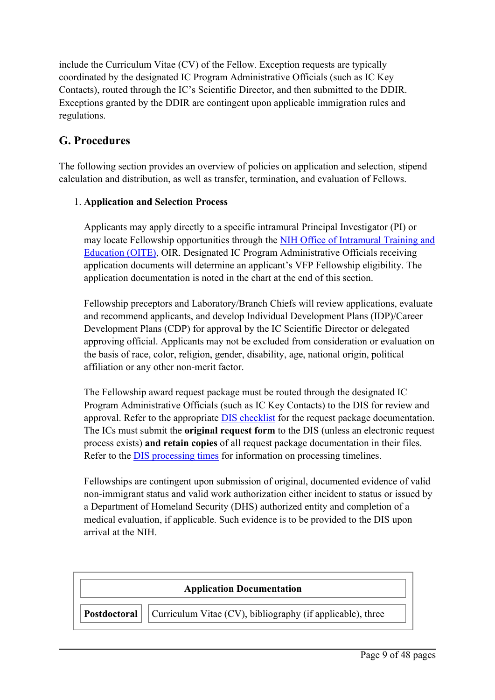include the Curriculum Vitae (CV) of the Fellow. Exception requests are typically coordinated by the designated IC Program Administrative Officials (such as IC Key Contacts), routed through the IC'<sup>s</sup> Scientific Director, and then submitted to the DDIR. Exceptions granted by the DDIR are contingent upon applicable immigration rules and regulations.

## **G. Procedures**

The following section provides an overview of policies on application and selection, stipend calculation and distribution, as well as transfer, termination, and evaluation of Fellows.

#### 1. **Application and Selection Process**

Applicants may apply directly to <sup>a</sup> specific intramural Principal Investigator (PI) or may locate Fellowship opportunities through the NIH Office of Intramural [Training](https://www.training.nih.gov/) and [Education](https://www.training.nih.gov/) (OITE), OIR. Designated IC Program Administrative Officials receiving application documents will determine an applicant'<sup>s</sup> VFP Fellowship eligibility. The application documentation is noted in the chart at the end of this section.

Fellowship preceptors and Laboratory/Branch Chiefs will review applications, evaluate and recommend applicants, and develop Individual Development Plans (IDP)/Career Development Plans (CDP) for approval by the IC Scientific Director or delegated approving official. Applicants may not be excluded from consideration or evaluation on the basis of race, color, religion, gender, disability, age, national origin, political affiliation or any other non-merit factor.

The Fellowship award reques<sup>t</sup> package must be routed through the designated IC Program Administrative Officials (such as IC Key Contacts) to the DIS for review and approval. Refer to the appropriate DIS [checklist](https://www.ors.od.nih.gov/pes/dis/AdministrativeStaff/Pages/Checklists.aspx) for the reques<sup>t</sup> package documentation. The ICs must submit the **original reques<sup>t</sup> form** to the DIS (unless an electronic reques<sup>t</sup> process exists) **and retain copies** of all reques<sup>t</sup> package documentation in their files. Refer to the **DIS** [process](http://https://www.ors.od.nih.gov/pes/dis/AdministrativeStaff/Pages/DISProcessingTimeChart.aspx)ing times for information on processing timelines.

Fellowships are contingent upon submission of original, documented evidence of valid non-immigrant status and valid work authorization either incident to status or issued by <sup>a</sup> Department of Homeland Security (DHS) authorized entity and completion of <sup>a</sup> medical evaluation, if applicable. Such evidence is to be provided to the DIS upon arrival at the NIH.

| <b>Application Documentation</b> |                                                                                         |  |  |  |  |
|----------------------------------|-----------------------------------------------------------------------------------------|--|--|--|--|
|                                  | $\vert$ Postdoctoral $\vert$ Curriculum Vitae (CV), bibliography (if applicable), three |  |  |  |  |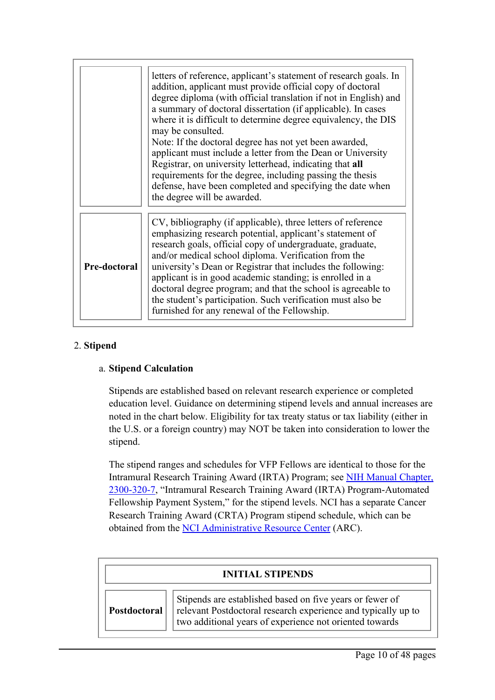|              | letters of reference, applicant's statement of research goals. In<br>addition, applicant must provide official copy of doctoral<br>degree diploma (with official translation if not in English) and<br>a summary of doctoral dissertation (if applicable). In cases<br>where it is difficult to determine degree equivalency, the DIS<br>may be consulted.<br>Note: If the doctoral degree has not yet been awarded,<br>applicant must include a letter from the Dean or University<br>Registrar, on university letterhead, indicating that all<br>requirements for the degree, including passing the thesis<br>defense, have been completed and specifying the date when<br>the degree will be awarded. |
|--------------|----------------------------------------------------------------------------------------------------------------------------------------------------------------------------------------------------------------------------------------------------------------------------------------------------------------------------------------------------------------------------------------------------------------------------------------------------------------------------------------------------------------------------------------------------------------------------------------------------------------------------------------------------------------------------------------------------------|
| Pre-doctoral | CV, bibliography (if applicable), three letters of reference<br>emphasizing research potential, applicant's statement of<br>research goals, official copy of undergraduate, graduate,<br>and/or medical school diploma. Verification from the<br>university's Dean or Registrar that includes the following:<br>applicant is in good academic standing; is enrolled in a<br>doctoral degree program; and that the school is agreeable to<br>the student's participation. Such verification must also be<br>furnished for any renewal of the Fellowship.                                                                                                                                                  |

#### 2. **Stipend**

#### a. **Stipend Calculation**

Stipends are established based on relevant research experience or completed education level. Guidance on determining stipend levels and annual increases are noted in the chart below. Eligibility for tax treaty status or tax liability (either in the U.S. or <sup>a</sup> foreign country) may NOT be taken into consideration to lower the stipend.

The stipend ranges and schedules for VFP Fellows are identical to those for the Intramural Research Training Award (IRTA) Program; see NIH Manual Chapter, 2300-320-7, "Intramural Research Training Award (IRTA) Program-Automated Fellowship Payment System," for the stipend levels. NCI has <sup>a</sup> separate Cancer Research Training Award (CRTA) Program stipend schedule, which can be obtained from the NCI [Administrative](http://intranet.cancer.gov/admin/crta/programe.htm) Resource Center (ARC).

| <b>INITIAL STIPENDS</b> |                                                                                                                                                                                      |  |  |  |  |
|-------------------------|--------------------------------------------------------------------------------------------------------------------------------------------------------------------------------------|--|--|--|--|
| Postdoctoral            | Stipends are established based on five years or fewer of<br>relevant Postdoctoral research experience and typically up to<br>two additional years of experience not oriented towards |  |  |  |  |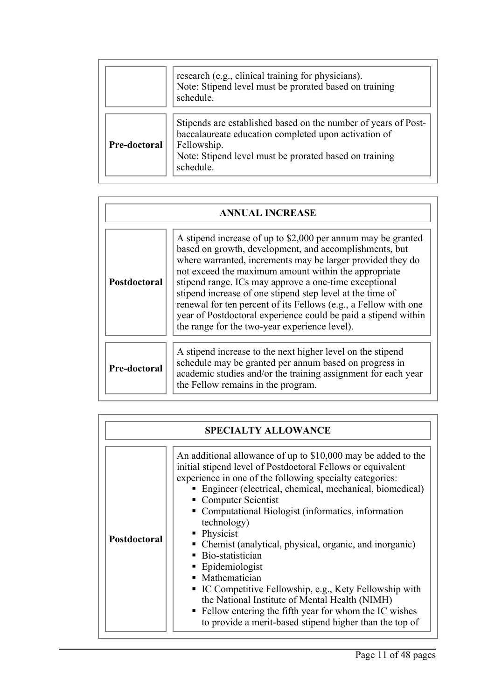|                     | research (e.g., clinical training for physicians).<br>Note: Stipend level must be prorated based on training<br>schedule.                                                                                    |
|---------------------|--------------------------------------------------------------------------------------------------------------------------------------------------------------------------------------------------------------|
| <b>Pre-doctoral</b> | Stipends are established based on the number of years of Post-<br>baccalaureate education completed upon activation of<br>Fellowship.<br>Note: Stipend level must be prorated based on training<br>schedule. |

| <b>ANNUAL INCREASE</b> |                                                                                                                                                                                                                                                                                                                                                                                                                                                                                                                                                          |  |  |  |  |  |
|------------------------|----------------------------------------------------------------------------------------------------------------------------------------------------------------------------------------------------------------------------------------------------------------------------------------------------------------------------------------------------------------------------------------------------------------------------------------------------------------------------------------------------------------------------------------------------------|--|--|--|--|--|
| Postdoctoral           | A stipend increase of up to \$2,000 per annum may be granted<br>based on growth, development, and accomplishments, but<br>where warranted, increments may be larger provided they do<br>not exceed the maximum amount within the appropriate<br>stipend range. ICs may approve a one-time exceptional<br>stipend increase of one stipend step level at the time of<br>renewal for ten percent of its Fellows (e.g., a Fellow with one<br>year of Postdoctoral experience could be paid a stipend within<br>the range for the two-year experience level). |  |  |  |  |  |
| Pre-doctoral           | A stipend increase to the next higher level on the stipend<br>schedule may be granted per annum based on progress in<br>academic studies and/or the training assignment for each year<br>the Fellow remains in the program.                                                                                                                                                                                                                                                                                                                              |  |  |  |  |  |

| <b>SPECIALTY ALLOWANCE</b> |                                                                                                                                                                                                                                                                                                                                                                                                                                                                                                                                                                                                                                                                                                                                |  |  |  |  |
|----------------------------|--------------------------------------------------------------------------------------------------------------------------------------------------------------------------------------------------------------------------------------------------------------------------------------------------------------------------------------------------------------------------------------------------------------------------------------------------------------------------------------------------------------------------------------------------------------------------------------------------------------------------------------------------------------------------------------------------------------------------------|--|--|--|--|
| <b>Postdoctoral</b>        | An additional allowance of up to \$10,000 may be added to the<br>initial stipend level of Postdoctoral Fellows or equivalent<br>experience in one of the following specialty categories:<br>• Engineer (electrical, chemical, mechanical, biomedical)<br>• Computer Scientist<br>• Computational Biologist (informatics, information<br>technology)<br>• Physicist<br>• Chemist (analytical, physical, organic, and inorganic)<br>• Bio-statistician<br>• Epidemiologist<br>• Mathematician<br>• IC Competitive Fellowship, e.g., Kety Fellowship with<br>the National Institute of Mental Health (NIMH)<br>• Fellow entering the fifth year for whom the IC wishes<br>to provide a merit-based stipend higher than the top of |  |  |  |  |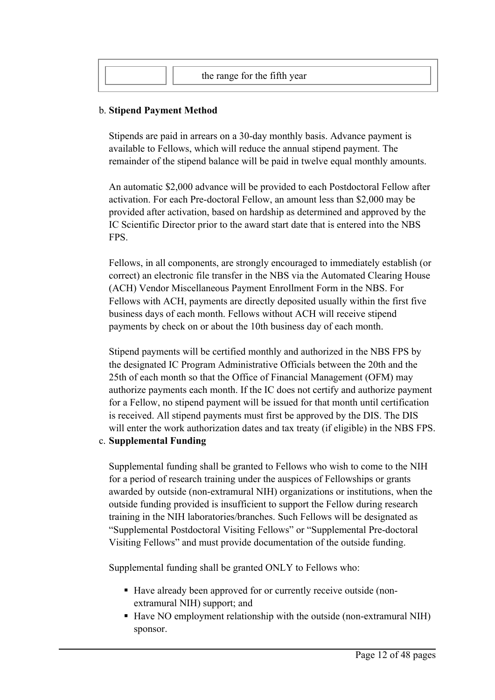| the range for the fifth year |  |
|------------------------------|--|
|                              |  |

#### b. **Stipend Payment Method**

Stipends are paid in arrears on <sup>a</sup> 30-day monthly basis. Advance paymen<sup>t</sup> is available to Fellows, which will reduce the annual stipend payment. The remainder of the stipend balance will be paid in twelve equal monthly amounts.

An automatic \$2,000 advance will be provided to each Postdoctoral Fellow after activation. For each Pre-doctoral Fellow, an amount less than \$2,000 may be provided after activation, based on hardship as determined and approved by the IC Scientific Director prior to the award start date that is entered into the NBS FPS.

Fellows, in all components, are strongly encouraged to immediately establish (or correct) an electronic file transfer in the NBS via the Automated Clearing House (ACH) Vendor Miscellaneous Payment Enrollment Form in the NBS. For Fellows with ACH, payments are directly deposited usually within the first five business days of each month. Fellows without ACH will receive stipend payments by check on or about the 10th business day of each month.

Stipend payments will be certified monthly and authorized in the NBS FPS by the designated IC Program Administrative Officials between the 20th and the 25th of each month so that the Office of Financial Management (OFM) may authorize payments each month. If the IC does not certify and authorize paymen<sup>t</sup> for <sup>a</sup> Fellow, no stipend paymen<sup>t</sup> will be issued for that month until certification is received. All stipend payments must first be approved by the DIS. The DIS will enter the work authorization dates and tax treaty (if eligible) in the NBS FPS.

#### c. **Supplemental Funding**

Supplemental funding shall be granted to Fellows who wish to come to the NIH for <sup>a</sup> period of research training under the auspices of Fellowships or grants awarded by outside (non-extramural NIH) organizations or institutions, when the outside funding provided is insufficient to suppor<sup>t</sup> the Fellow during research training in the NIH laboratories/branches. Such Fellows will be designated as "Supplemental Postdoctoral Visiting Fellows" or "Supplemental Pre-doctoral Visiting Fellows" and must provide documentation of the outside funding.

Supplemental funding shall be granted ONLY to Fellows who:

- Have already been approved for or currently receive outside (nonextramural NIH) support; and
- Have NO employment relationship with the outside (non-extramural NIH) sponsor.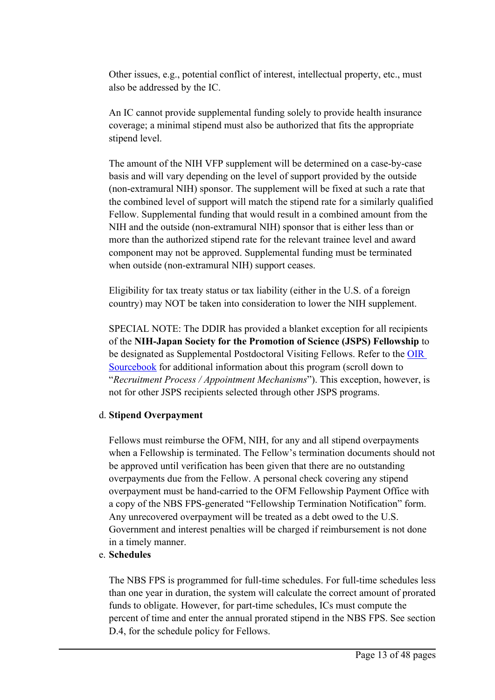Other issues, e.g., potential conflict of interest, intellectual property, etc., must also be addressed by the IC.

An IC cannot provide supplemental funding solely to provide health insurance coverage; <sup>a</sup> minimal stipend must also be authorized that fits the appropriate stipend level.

The amount of the NIH VFP supplement will be determined on <sup>a</sup> case-by-case basis and will vary depending on the level of suppor<sup>t</sup> provided by the outside (non-extramural NIH) sponsor. The supplement will be fixed at such <sup>a</sup> rate that the combined level of suppor<sup>t</sup> will match the stipend rate for <sup>a</sup> similarly qualified Fellow. Supplemental funding that would result in <sup>a</sup> combined amount from the NIH and the outside (non-extramural NIH) sponsor that is either less than or more than the authorized stipend rate for the relevant trainee level and award componen<sup>t</sup> may not be approved. Supplemental funding must be terminated when outside (non-extramural NIH) suppor<sup>t</sup> ceases.

Eligibility for tax treaty status or tax liability (either in the U.S. of <sup>a</sup> foreign country) may NOT be taken into consideration to lower the NIH supplement.

SPECIAL NOTE: The DDIR has provided <sup>a</sup> blanket exception for all recipients of the **NIH-Japan Society for the Promotion of Science (JSPS) Fellowship** to be designated as Supplemental Postdoctoral Visiting Fellows. Refer to the [OIR](https://oir.nih.gov/sourcebook/personnel/ipds-appointment-mechanisms/visiting-fellow-hiring-mechanism-postdoctoral-pre-doctoral-ipds) [Sourcebook](https://oir.nih.gov/sourcebook/personnel/ipds-appointment-mechanisms/visiting-fellow-hiring-mechanism-postdoctoral-pre-doctoral-ipds) for additional information about this program (scroll down to "*Recruitment Process / Appointment Mechanisms*"). This exception, however, is not for other JSPS recipients selected through other JSPS programs.

#### d. **Stipend Overpayment**

Fellows must reimburse the OFM, NIH, for any and all stipend overpayments when <sup>a</sup> Fellowship is terminated. The Fellow'<sup>s</sup> termination documents should not be approved until verification has been given that there are no outstanding overpayments due from the Fellow. A personal check covering any stipend overpaymen<sup>t</sup> must be hand-carried to the OFM Fellowship Payment Office with <sup>a</sup> copy of the NBS FPS-generated "Fellowship Termination Notification" form. Any unrecovered overpaymen<sup>t</sup> will be treated as <sup>a</sup> debt owed to the U.S. Government and interest penalties will be charged if reimbursement is not done in <sup>a</sup> timely manner.

#### e. **Schedules**

The NBS FPS is programmed for full-time schedules. For full-time schedules less than one year in duration, the system will calculate the correct amount of prorated funds to obligate. However, for part-time schedules, ICs must compute the percen<sup>t</sup> of time and enter the annual prorated stipend in the NBS FPS. See section D.4, for the schedule policy for Fellows.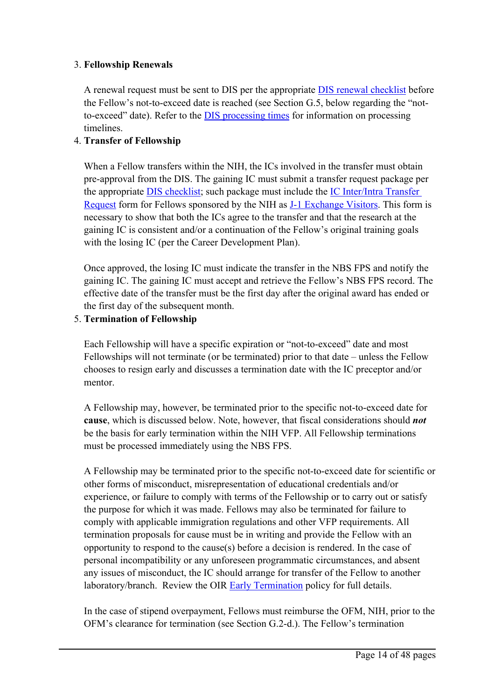#### 3. **Fellowship Renewals**

A renewal reques<sup>t</sup> must be sent to DIS per the appropriate DIS renewal [checklist](https://www.ors.od.nih.gov/pes/dis/AdministrativeStaff/Pages/Checklists.aspx) before the Fellow'<sup>s</sup> not-to-exceed date is reached (see Section G.5, below regarding the "notto-exceed" date). Refer to the DIS [process](https://www.ors.od.nih.gov/pes/dis/AdministrativeStaff/Pages/DISProcessingTimeChart.aspx)ing times for information on processing timelines.

#### 4. **Transfer of Fellowship**

When <sup>a</sup> Fellow transfers within the NIH, the ICs involved in the transfer must obtain pre-approval from the DIS. The gaining IC must submit <sup>a</sup> transfer reques<sup>t</sup> package per the appropriate DIS [checklist](https://www.ors.od.nih.gov/pes/dis/AdministrativeStaff/Pages/Checklists.aspx); such package must include the IC [Inter/Intra](https://www.ors.od.nih.gov/pes/dis/AdministrativeStaff/Documents/icinterintrarequest.pdf) Transfer [Request](https://www.ors.od.nih.gov/pes/dis/AdministrativeStaff/Documents/icinterintrarequest.pdf) form for Fellows sponsored by the NIH as J-1 [Exchange](https://www.ors.od.nih.gov/pes/dis/VisitingScientists/Pages/J-1ExchangeVisitors.aspx) Visitors. This form is necessary to show that both the ICs agree to the transfer and that the research at the gaining IC is consistent and/or <sup>a</sup> continuation of the Fellow'<sup>s</sup> original training goals with the losing IC (per the Career Development Plan).

Once approved, the losing IC must indicate the transfer in the NBS FPS and notify the gaining IC. The gaining IC must accep<sup>t</sup> and retrieve the Fellow'<sup>s</sup> NBS FPS record. The effective date of the transfer must be the first day after the original award has ended or the first day of the subsequent month.

#### 5. **Termination of Fellowship**

Each Fellowship will have <sup>a</sup> specific expiration or "not-to-exceed" date and most Fellowships will not terminate (or be terminated) prior to that date – unless the Fellow chooses to resign early and discusses <sup>a</sup> termination date with the IC preceptor and/or mentor.

A Fellowship may, however, be terminated prior to the specific not-to-exceed date for **cause**, which is discussed below. Note, however, that fiscal considerations should *not* be the basis for early termination within the NIH VFP. All Fellowship terminations must be processed immediately using the NBS FPS.

A Fellowship may be terminated prior to the specific not-to-exceed date for scientific or other forms of misconduct, misrepresentation of educational credentials and/or experience, or failure to comply with terms of the Fellowship or to carry out or satisfy the purpose for which it was made. Fellows may also be terminated for failure to comply with applicable immigration regulations and other VFP requirements. All termination proposals for cause must be in writing and provide the Fellow with an opportunity to respond to the cause(s) before <sup>a</sup> decision is rendered. In the case of personal incompatibility or any unforeseen programmatic circumstances, and absent any issues of misconduct, the IC should arrange for transfer of the Fellow to another laboratory/branch. Review the OIR **Early [Termination](https://oir.nih.gov/sourcebook/personnel/recruitment-processes-policies-checklists/guidelines-early-termination-awards-postdoctoral-fellows)** policy for full details.

In the case of stipend overpayment, Fellows must reimburse the OFM, NIH, prior to the OFM'<sup>s</sup> clearance for termination (see Section G.2-d.). The Fellow'<sup>s</sup> termination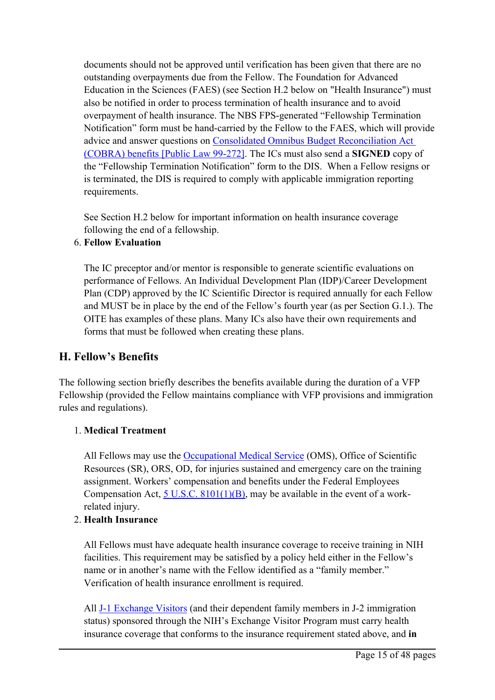documents should not be approved until verification has been given that there are no outstanding overpayments due from the Fellow. The Foundation for Advanced Education in the Sciences (FAES) (see Section H.2 below on "Health Insurance") must also be notified in order to process termination of health insurance and to avoid overpaymen<sup>t</sup> of health insurance. The NBS FPS-generated "Fellowship Termination Notification" form must be hand-carried by the Fellow to the FAES, which will provide advice and answer questions on Consolidated Omnibus Budget [Reconciliation](https://www.congress.gov/bill/99th-congress/house-bill/3128) Act [\(COBRA\)](https://www.congress.gov/bill/99th-congress/house-bill/3128) benefits [Public Law 99-272]. The ICs must also send <sup>a</sup> **SIGNED** copy of the "Fellowship Termination Notification" form to the DIS. When <sup>a</sup> Fellow resigns or is terminated, the DIS is required to comply with applicable immigration reporting requirements.

See Section H.2 below for important information on health insurance coverage following the end of <sup>a</sup> fellowship.

#### 6. **Fellow Evaluation**

The IC preceptor and/or mentor is responsible to generate scientific evaluations on performance of Fellows. An Individual Development Plan (IDP)/Career Development Plan (CDP) approved by the IC Scientific Director is required annually for each Fellow and MUST be in place by the end of the Fellow'<sup>s</sup> fourth year (as per Section G.1.). The OITE has examples of these plans. Many ICs also have their own requirements and forms that must be followed when creating these plans.

#### **H. Fellow'<sup>s</sup> Benefits**

The following section briefly describes the benefits available during the duration of <sup>a</sup> VFP Fellowship (provided the Fellow maintains compliance with VFP provisions and immigration rules and regulations).

#### 1. **Medical Treatment**

All Fellows may use the [Occupational](https://www.ors.od.nih.gov/sr/dohs/HealthAndWellness/OccupationalMedical/Pages/oms_main.aspx) Medical Service (OMS), Office of Scientific Resources (SR), ORS, OD, for injuries sustained and emergency care on the training assignment. Workers' compensation and benefits under the Federal Employees Compensation Act,  $5$  U.S.C.  $8101(1)(B)$ , may be available in the event of a workrelated injury.

#### 2. **Health Insurance**

All Fellows must have adequate health insurance coverage to receive training in NIH facilities. This requirement may be satisfied by <sup>a</sup> policy held either in the Fellow'<sup>s</sup> name or in another'<sup>s</sup> name with the Fellow identified as <sup>a</sup> "family member." Verification of health insurance enrollment is required.

All J-1 [Exchange](https://www.ors.od.nih.gov/pes/dis/AboutDIS/Pages/FAQs.aspx) Visitors (and their dependent family members in J-2 immigration status) sponsored through the NIH'<sup>s</sup> Exchange Visitor Program must carry health insurance coverage that conforms to the insurance requirement stated above, and **in**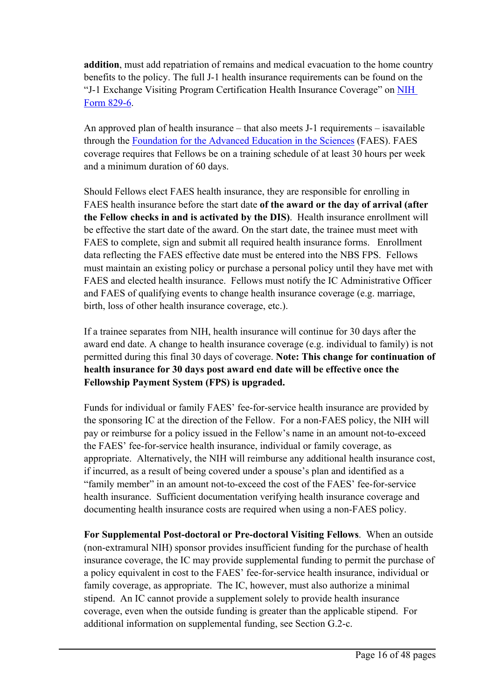**addition**, must add repatriation of remains and medical evacuation to the home country benefits to the policy. The full J-1 health insurance requirements can be found on the "J-1 Exchange Visiting Program Certification Health Insurance Coverage" on [NIH](https://oma.od.nih.gov/Lists/DMSFormsList/Attachments/140/NIH-829-6_03-27-17.pdf) Form [829-6](https://oma.od.nih.gov/Lists/DMSFormsList/Attachments/140/NIH-829-6_03-27-17.pdf).

An approved plan of health insurance – that also meets J-1 requirements – isavailable through the [Foundation](https://faes.org/content/health-insurance-services) for the Advanced Education in the Sciences (FAES). FAES coverage requires that Fellows be on <sup>a</sup> training schedule of at least 30 hours per week and <sup>a</sup> minimum duration of 60 days.

Should Fellows elect FAES health insurance, they are responsible for enrolling in FAES health insurance before the start date **of the award or the day of arrival (after the Fellow checks in and is activated by the DIS)**. Health insurance enrollment will be effective the start date of the award. On the start date, the trainee must meet with FAES to complete, sign and submit all required health insurance forms. Enrollment data reflecting the FAES effective date must be entered into the NBS FPS. Fellows must maintain an existing policy or purchase <sup>a</sup> personal policy until they have met with FAES and elected health insurance. Fellows must notify the IC Administrative Officer and FAES of qualifying events to change health insurance coverage (e.g. marriage, birth, loss of other health insurance coverage, etc.).

If <sup>a</sup> trainee separates from NIH, health insurance will continue for 30 days after the award end date. A change to health insurance coverage (e.g. individual to family) is not permitted during this final 30 days of coverage. **Note: This change for continuation of health insurance for 30 days post award end date will be effective once the Fellowship Payment System (FPS) is upgraded.**

Funds for individual or family FAES' fee-for-service health insurance are provided by the sponsoring IC at the direction of the Fellow. For <sup>a</sup> non-FAES policy, the NIH will pay or reimburse for <sup>a</sup> policy issued in the Fellow'<sup>s</sup> name in an amount not-to-exceed the FAES' fee-for-service health insurance, individual or family coverage, as appropriate. Alternatively, the NIH will reimburse any additional health insurance cost, if incurred, as <sup>a</sup> result of being covered under <sup>a</sup> spouse'<sup>s</sup> plan and identified as <sup>a</sup> "family member" in an amount not-to-exceed the cost of the FAES' fee-for-service health insurance. Sufficient documentation verifying health insurance coverage and documenting health insurance costs are required when using <sup>a</sup> non-FAES policy.

**For Supplemental Post-doctoral or Pre-doctoral Visiting Fellows**. When an outside (non-extramural NIH) sponsor provides insufficient funding for the purchase of health insurance coverage, the IC may provide supplemental funding to permit the purchase of <sup>a</sup> policy equivalent in cost to the FAES' fee-for-service health insurance, individual or family coverage, as appropriate. The IC, however, must also authorize <sup>a</sup> minimal stipend. An IC cannot provide <sup>a</sup> supplement solely to provide health insurance coverage, even when the outside funding is greater than the applicable stipend. For additional information on supplemental funding, see Section G.2-c.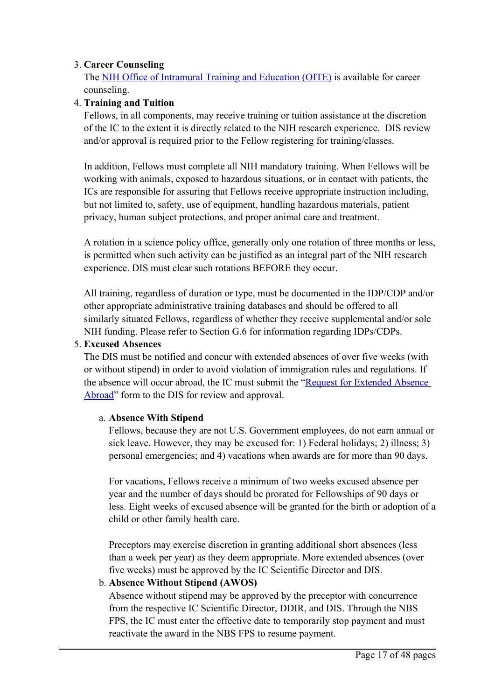#### 3. **Career Counseling**

The NIH Office of Intramural [Training](https://www.training.nih.gov/) and Education (OITE) is available for career counseling.

#### 4. **Training and Tuition**

Fellows, in all components, may receive training or tuition assistance at the discretion of the IC to the extent it is directly related to the NIH research experience. DIS review and/or approval is required prior to the Fellow registering for training/classes.

In addition, Fellows must complete all NIH mandatory training. When Fellows will be working with animals, exposed to hazardous situations, or in contact with patients, the ICs are responsible for assuring that Fellows receive appropriate instruction including, but not limited to, safety, use of equipment, handling hazardous materials, patient privacy, human subject protections, and proper animal care and treatment.

A rotation in <sup>a</sup> science policy office, generally only one rotation of three months or less, is permitted when such activity can be justified as an integral par<sup>t</sup> of the NIH research experience. DIS must clear such rotations BEFORE they occur.

All training, regardless of duration or type, must be documented in the IDP/CDP and/or other appropriate administrative training databases and should be offered to all similarly situated Fellows, regardless of whether they receive supplemental and/or sole NIH funding. Please refer to Section G.6 for information regarding IDPs/CDPs.

#### 5. **Excused Absences**

The DIS must be notified and concur with extended absences of over five weeks (with or without stipend) in order to avoid violation of immigration rules and regulations. If the absence will occur abroad, the IC must submit the "[Request](https://www.ors.od.nih.gov/pes/dis/AdministrativeStaff/Documents/RequestforExtendedAbsenceAbroad.pdf) for Extended Absence [Abroad](https://www.ors.od.nih.gov/pes/dis/AdministrativeStaff/Documents/RequestforExtendedAbsenceAbroad.pdf)" form to the DIS for review and approval.

#### a. **Absence With Stipend**

Fellows, because they are not U.S. Government employees, do not earn annual or sick leave. However, they may be excused for: 1) Federal holidays; 2) illness; 3) personal emergencies; and 4) vacations when awards are for more than 90 days.

For vacations, Fellows receive <sup>a</sup> minimum of two weeks excused absence per year and the number of days should be prorated for Fellowships of 90 days or less. Eight weeks of excused absence will be granted for the birth or adoption of <sup>a</sup> child or other family health care.

Preceptors may exercise discretion in granting additional short absences (less than <sup>a</sup> week per year) as they deem appropriate. More extended absences (over five weeks) must be approved by the IC Scientific Director and DIS.

#### b. **Absence Without Stipend (AWOS)**

Absence without stipend may be approved by the preceptor with concurrence from the respective IC Scientific Director, DDIR, and DIS. Through the NBS FPS, the IC must enter the effective date to temporarily stop paymen<sup>t</sup> and must reactivate the award in the NBS FPS to resume payment.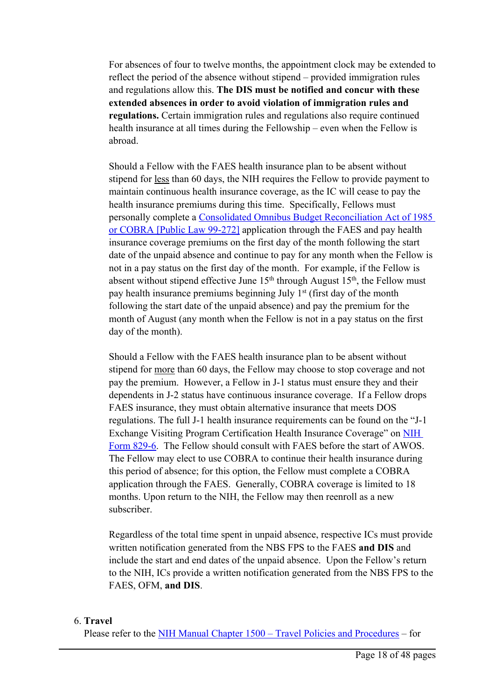For absences of four to twelve months, the appointment clock may be extended to reflect the period of the absence without stipend – provided immigration rules and regulations allow this. **The DIS must be notified and concur with these extended absences in order to avoid violation of immigration rules and regulations.** Certain immigration rules and regulations also require continued health insurance at all times during the Fellowship – even when the Fellow is abroad.

Should <sup>a</sup> Fellow with the FAES health insurance plan to be absent without stipend for less than 60 days, the NIH requires the Fellow to provide paymen<sup>t</sup> to maintain continuous health insurance coverage, as the IC will cease to pay the health insurance premiums during this time. Specifically, Fellows must personally complete <sup>a</sup> Consolidated Omnibus Budget [Reconciliation](http://thomas.loc.gov/cgi-bin/bdquery/z?d099:H.R.3128:) Act of 1985 or COBRA [Public Law [99-272\]](http://thomas.loc.gov/cgi-bin/bdquery/z?d099:H.R.3128:) application through the FAES and pay health insurance coverage premiums on the first day of the month following the start date of the unpaid absence and continue to pay for any month when the Fellow is not in <sup>a</sup> pay status on the first day of the month. For example, if the Fellow is absent without stipend effective June  $15<sup>th</sup>$  through August  $15<sup>th</sup>$ , the Fellow must pay health insurance premiums beginning July 1st (first day of the month following the start date of the unpaid absence) and pay the premium for the month of August (any month when the Fellow is not in <sup>a</sup> pay status on the first day of the month).

Should <sup>a</sup> Fellow with the FAES health insurance plan to be absent without stipend for more than 60 days, the Fellow may choose to stop coverage and not pay the premium. However, <sup>a</sup> Fellow in J-1 status must ensure they and their dependents in J-2 status have continuous insurance coverage. If <sup>a</sup> Fellow drops FAES insurance, they must obtain alternative insurance that meets DOS regulations. The full J-1 health insurance requirements can be found on the "J-1 Exchange Visiting Program Certification Health Insurance Coverage" on [NIH](https://www.ors.od.nih.gov/pes/dis/AdministrativeStaff/Documents/NH829_6.PDF) Form [829-6](https://www.ors.od.nih.gov/pes/dis/AdministrativeStaff/Documents/NH829_6.PDF). The Fellow should consult with FAES before the start of AWOS. The Fellow may elect to use COBRA to continue their health insurance during this period of absence; for this option, the Fellow must complete <sup>a</sup> COBRA application through the FAES. Generally, COBRA coverage is limited to 18 months. Upon return to the NIH, the Fellow may then reenroll as <sup>a</sup> new subscriber.

Regardless of the total time spen<sup>t</sup> in unpaid absence, respective ICs must provide written notification generated from the NBS FPS to the FAES **and DIS** and include the start and end dates of the unpaid absence. Upon the Fellow'<sup>s</sup> return to the NIH, ICs provide <sup>a</sup> written notification generated from the NBS FPS to the FAES, OFM, **and DIS**.

#### 6. **Travel**

Please refer to the NIH Manual Chapter 1500 – Travel Policies and Procedures – for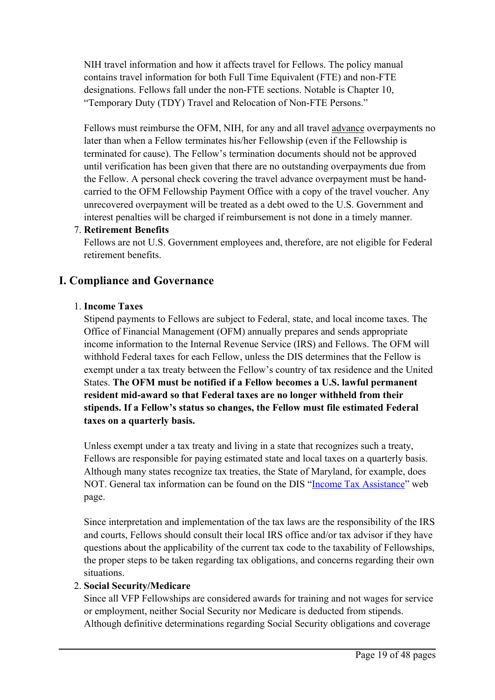NIH travel information and how it affects travel for Fellows. The policy manual contains travel information for both Full Time Equivalent (FTE) and non-FTE designations. Fellows fall under the non-FTE sections. Notable is Chapter 10, "Temporary Duty (TDY) Travel and Relocation of Non-FTE Persons."

Fellows must reimburse the OFM, NIH, for any and all travel advance overpayments no later than when <sup>a</sup> Fellow terminates his/her Fellowship (even if the Fellowship is terminated for cause). The Fellow'<sup>s</sup> termination documents should not be approved until verification has been given that there are no outstanding overpayments due from the Fellow. A personal check covering the travel advance overpayment must be handcarried to the OFM Fellowship Payment Office with <sup>a</sup> copy of the travel voucher. Any unrecovered overpaymen<sup>t</sup> will be treated as <sup>a</sup> debt owed to the U.S. Government and interest penalties will be charged if reimbursement is not done in <sup>a</sup> timely manner.

#### 7. **Retirement Benefits**

Fellows are not U.S. Government employees and, therefore, are not eligible for Federal retirement benefits.

#### **I. Compliance and Governance**

#### 1. **Income Taxes**

Stipend payments to Fellows are subject to Federal, state, and local income taxes. The Office of Financial Management (OFM) annually prepares and sends appropriate income information to the Internal Revenue Service (IRS) and Fellows. The OFM will withhold Federal taxes for each Fellow, unless the DIS determines that the Fellow is exemp<sup>t</sup> under <sup>a</sup> tax treaty between the Fellow'<sup>s</sup> country of tax residence and the United States. **The OFM must be notified if <sup>a</sup> Fellow becomes <sup>a</sup> U.S. lawful permanent resident mid-award so that Federal taxes are no longer withheld from their stipends. If <sup>a</sup> Fellow'<sup>s</sup> status so changes, the Fellow must file estimated Federal taxes on <sup>a</sup> quarterly basis.**

Unless exemp<sup>t</sup> under <sup>a</sup> tax treaty and living in <sup>a</sup> state that recognizes such <sup>a</sup> treaty, Fellows are responsible for paying estimated state and local taxes on <sup>a</sup> quarterly basis. Although many states recognize tax treaties, the State of Maryland, for example, does NOT. General tax information can be found on the DIS "Income Tax [Assistance](https://www.ors.od.nih.gov/pes/dis/VisitingScientists/Pages/Taxes.aspx)" web page.

Since interpretation and implementation of the tax laws are the responsibility of the IRS and courts, Fellows should consult their local IRS office and/or tax advisor if they have questions about the applicability of the current tax code to the taxability of Fellowships, the proper steps to be taken regarding tax obligations, and concerns regarding their own situations.

#### 2. **Social Security/Medicare**

Since all VFP Fellowships are considered awards for training and not wages for service or employment, neither Social Security nor Medicare is deducted from stipends. Although definitive determinations regarding Social Security obligations and coverage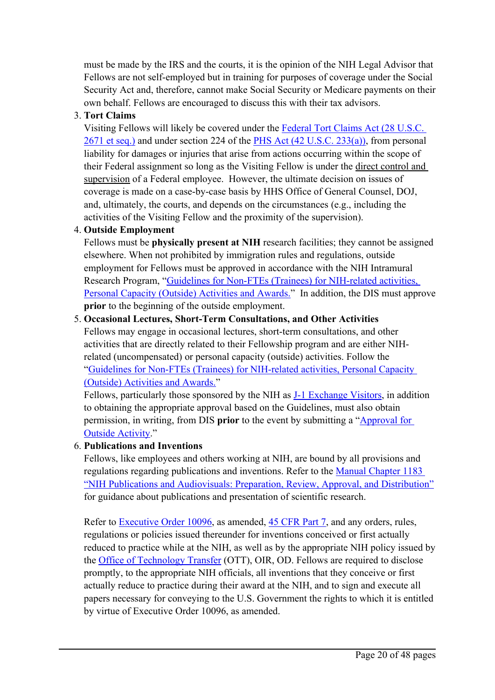must be made by the IRS and the courts, it is the opinion of the NIH Legal Advisor that Fellows are not self-employed but in training for purposes of coverage under the Social Security Act and, therefore, cannot make Social Security or Medicare payments on their own behalf. Fellows are encouraged to discuss this with their tax advisors.

#### 3. **Tort Claims**

Visiting Fellows will likely be covered under the [Federal](https://www.govinfo.gov/app/details/USCODE-2011-title28/USCODE-2011-title28-partVI-chap171-sec2671) Tort Claims Act (28 U.S.C. 2671 et [seq.\)](https://www.govinfo.gov/app/details/USCODE-2011-title28/USCODE-2011-title28-partVI-chap171-sec2671) and under section 224 of the PHS Act (42 U.S.C. [233\(a\)\)](https://www.govinfo.gov/app/details/USCODE-2020-title42/USCODE-2020-title42-chap6A-subchapI-partA-sec233), from personal liability for damages or injuries that arise from actions occurring within the scope of their Federal assignment so long as the Visiting Fellow is under the direct control and supervision of <sup>a</sup> Federal employee. However, the ultimate decision on issues of coverage is made on <sup>a</sup> case-by-case basis by HHS Office of General Counsel, DOJ, and, ultimately, the courts, and depends on the circumstances (e.g., including the activities of the Visiting Fellow and the proximity of the supervision).

#### 4. **Outside Employment**

Fellows must be **physically presen<sup>t</sup> at NIH** research facilities; they cannot be assigned elsewhere. When not prohibited by immigration rules and regulations, outside employment for Fellows must be approved in accordance with the NIH Intramural Research Program, "Guidelines for Non-FTEs [\(Trainees\)](https://oir.nih.gov/sourcebook/ethical-conduct/government-ethics/guidelines-non-ftes-trainees-nih-related-activities-outside-activities) for NIH-related activities, Personal Capacity [\(Outside\)](https://oir.nih.gov/sourcebook/ethical-conduct/government-ethics/guidelines-non-ftes-trainees-nih-related-activities-outside-activities) Activities and Awards." In addition, the DIS must approve **prior** to the beginning of the outside employment.

#### 5. **Occasional Lectures, Short-Term Consultations, and Other Activities**

Fellows may engage in occasional lectures, short-term consultations, and other activities that are directly related to their Fellowship program and are either NIHrelated (uncompensated) or personal capacity (outside) activities. Follow the "Guidelines for Non-FTEs [\(Trainees\)](https://oir.nih.gov/sourcebook/ethical-conduct/government-ethics/guidelines-non-ftes-trainees-nih-related-activities-outside-activities) for NIH-related activities, Personal Capacity [\(Outside\)](https://oir.nih.gov/sourcebook/ethical-conduct/government-ethics/guidelines-non-ftes-trainees-nih-related-activities-outside-activities) Activities and Awards."

Fellows, particularly those sponsored by the NIH as J-1 [Exchange](https://www.ors.od.nih.gov/pes/dis/VisitingScientists/Pages/J-1ExchangeVisitors.aspx) Visitors, in addition to obtaining the appropriate approval based on the Guidelines, must also obtain permission, in writing, from DIS **prior** to the event by submitting <sup>a</sup> "[Approval](https://www.ors.od.nih.gov/pes/dis/AdministrativeStaff/Documents/approval_outside_activity.pdf) for Outside [Activity](https://www.ors.od.nih.gov/pes/dis/AdministrativeStaff/Documents/approval_outside_activity.pdf)."

#### 6. **Publications and Inventions**

Fellows, like employees and others working at NIH, are bound by all provisions and regulations regarding publications and inventions. Refer to the Manual Chapter 1183 "NIH Publications and Audiovisuals: Preparation, Review, Approval, and Distribution" for guidance about publications and presentation of scientific research.

Refer to [Executive](https://www.archives.gov/federal-register/codification/executive-order/10096.html) Order 10096, as amended, 45 [CFR](https://www.govinfo.gov/app/collection/cfr/) Part 7, and any orders, rules, regulations or policies issued thereunder for inventions conceived or first actually reduced to practice while at the NIH, as well as by the appropriate NIH policy issued by the Office of [Technology](https://www.ott.nih.gov/) Transfer (OTT), OIR, OD. Fellows are required to disclose promptly, to the appropriate NIH officials, all inventions that they conceive or first actually reduce to practice during their award at the NIH, and to sign and execute all papers necessary for conveying to the U.S. Government the rights to which it is entitled by virtue of Executive Order 10096, as amended.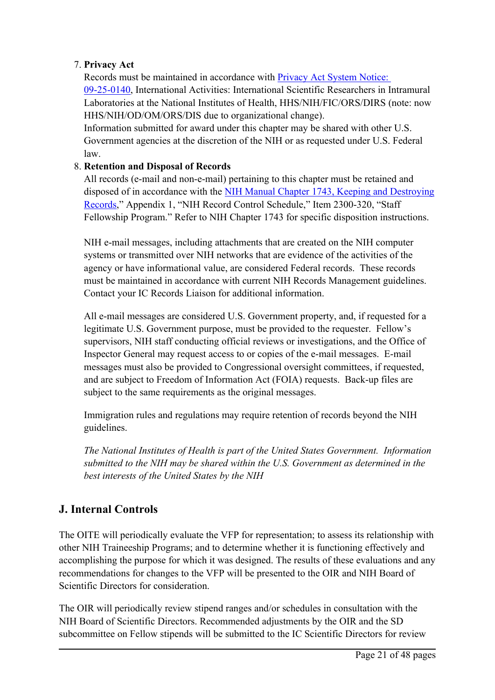#### 7. **Privacy Act**

Records must be maintained in accordance with [Privacy](https://www.federalregister.gov/documents/2002/09/26/02-23965/privacy-act-of-1974-annual-publication-of-systems-of-records) Act System Notice: [09-25-0140](https://www.federalregister.gov/documents/2002/09/26/02-23965/privacy-act-of-1974-annual-publication-of-systems-of-records), International Activities: International Scientific Researchers in Intramural Laboratories at the National Institutes of Health, HHS/NIH/FIC/ORS/DIRS (note: now HHS/NIH/OD/OM/ORS/DIS due to organizational change).

Information submitted for award under this chapter may be shared with other U.S. Government agencies at the discretion of the NIH or as requested under U.S. Federal law.

#### 8. **Retention and Disposal of Records**

All records (e-mail and non-e-mail) pertaining to this chapter must be retained and disposed of in accordance with the NIH Manual Chapter 1743, Keeping and [Destroying](https://policymanual.nih.gov/1743) [Records](https://policymanual.nih.gov/1743)," Appendix 1, "NIH Record Control Schedule," Item 2300-320, "Staff Fellowship Program." Refer to NIH Chapter 1743 for specific disposition instructions.

NIH e-mail messages, including attachments that are created on the NIH computer systems or transmitted over NIH networks that are evidence of the activities of the agency or have informational value, are considered Federal records. These records must be maintained in accordance with current NIH Records Management guidelines. Contact your IC Records Liaison for additional information.

All e-mail messages are considered U.S. Government property, and, if requested for <sup>a</sup> legitimate U.S. Government purpose, must be provided to the requester. Fellow'<sup>s</sup> supervisors, NIH staff conducting official reviews or investigations, and the Office of Inspector General may reques<sup>t</sup> access to or copies of the e-mail messages. E-mail messages must also be provided to Congressional oversight committees, if requested, and are subject to Freedom of Information Act (FOIA) requests. Back-up files are subject to the same requirements as the original messages.

Immigration rules and regulations may require retention of records beyond the NIH guidelines.

*The National Institutes of Health is par<sup>t</sup> of the United States Government. Information submitted to the NIH may be shared within the U.S. Government as determined in the best interests of the United States by the NIH*

## **J. Internal Controls**

The OITE will periodically evaluate the VFP for representation; to assess its relationship with other NIH Traineeship Programs; and to determine whether it is functioning effectively and accomplishing the purpose for which it was designed. The results of these evaluations and any recommendations for changes to the VFP will be presented to the OIR and NIH Board of Scientific Directors for consideration.

The OIR will periodically review stipend ranges and/or schedules in consultation with the NIH Board of Scientific Directors. Recommended adjustments by the OIR and the SD subcommittee on Fellow stipends will be submitted to the IC Scientific Directors for review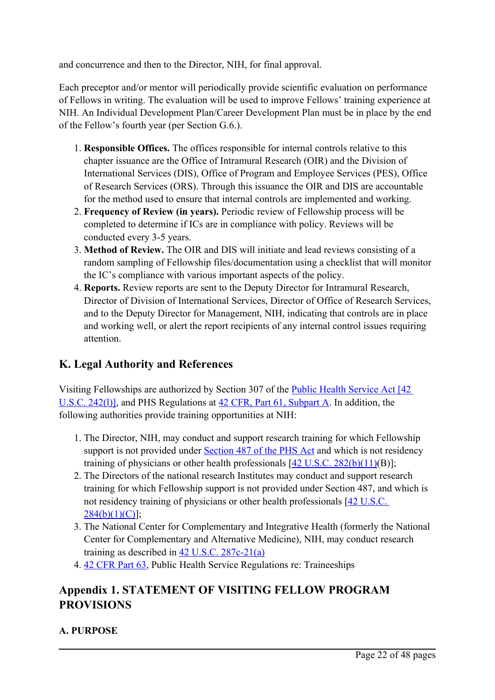and concurrence and then to the Director, NIH, for final approval.

Each preceptor and/or mentor will periodically provide scientific evaluation on performance of Fellows in writing. The evaluation will be used to improve Fellows' training experience at NIH. An Individual Development Plan/Career Development Plan must be in place by the end of the Fellow'<sup>s</sup> fourth year (per Section G.6.).

- 1. **Responsible Offices.** The offices responsible for internal controls relative to this chapter issuance are the Office of Intramural Research (OIR) and the Division of International Services (DIS), Office of Program and Employee Services (PES), Office of Research Services (ORS). Through this issuance the OIR and DIS are accountable for the method used to ensure that internal controls are implemented and working.
- 2. **Frequency of Review (in years).** Periodic review of Fellowship process will be completed to determine if ICs are in compliance with policy. Reviews will be conducted every 3-5 years.
- 3. **Method of Review.** The OIR and DIS will initiate and lead reviews consisting of <sup>a</sup> random sampling of Fellowship files/documentation using <sup>a</sup> checklist that will monitor the IC'<sup>s</sup> compliance with various important aspects of the policy.
- 4. **Reports.** Review reports are sent to the Deputy Director for Intramural Research, Director of Division of International Services, Director of Office of Research Services, and to the Deputy Director for Management, NIH, indicating that controls are in place and working well, or alert the repor<sup>t</sup> recipients of any internal control issues requiring attention.

## **K. Legal Authority and References**

Visiting Fellowships are authorized by Section 307 of the Public Health [Service](http://www.gpo.gov/fdsys/browse/collectionUScode.action?collectionCode=USCODE) Act [42 U.S.C. [242\(l\)\]](http://www.gpo.gov/fdsys/browse/collectionUScode.action?collectionCode=USCODE), and PHS Regulations at 42 CFR, Part 61, [Subpart](http://www.ecfr.gov/cgi-bin/text-idx?c=ecfr&tpl=/ecfrbrowse/Title42/42cfr61_main_02.tpl) A. In addition, the following authorities provide training opportunities at NIH:

- 1. The Director, NIH, may conduct and suppor<sup>t</sup> research training for which Fellowship support is not provided under [Section](http://www.gpo.gov/fdsys/browse/collectionUScode.action?collectionCode=USCODE) 487 of the PHS Act and which is not residency training of physicians or other health professionals  $[42 \text{ U.S.C. } 282(b)(11)(B)]$  $[42 \text{ U.S.C. } 282(b)(11)(B)]$  $[42 \text{ U.S.C. } 282(b)(11)(B)]$ ;
- 2. The Directors of the national research Institutes may conduct and suppor<sup>t</sup> research training for which Fellowship suppor<sup>t</sup> is not provided under Section 487, and which is not residency training of physicians or other health professionals [42 [U.S.C.](http://www.gpo.gov/fdsys/pkg/USCODE-2011-title42/html/USCODE-2011-title42-chap6A-subchapIII-partB-sec284.htm)  $284(b)(1)(C)$ ];
- 3. The National Center for Complementary and Integrative Health (formerly the National Center for Complementary and Alternative Medicine), NIH, may conduct research training as described in 42 U.S.C. [287c-21\(a\)](http://www.gpo.gov/fdsys/pkg/USCODE-2011-title42/html/USCODE-2011-title42-chap6A-subchapIII-partE-subpart5.htm)
- 4. 42 [CFR](http://www.ecfr.gov/cgi-bin/text-idx?c=ecfr&tpl=/ecfrbrowse/Title42/42cfr63_main_02.tpl) Part 63, Public Health Service Regulations re: Traineeships

## **Appendix 1. STATEMENT OF VISITING FELLOW PROGRAM PROVISIONS**

#### **A. PURPOSE**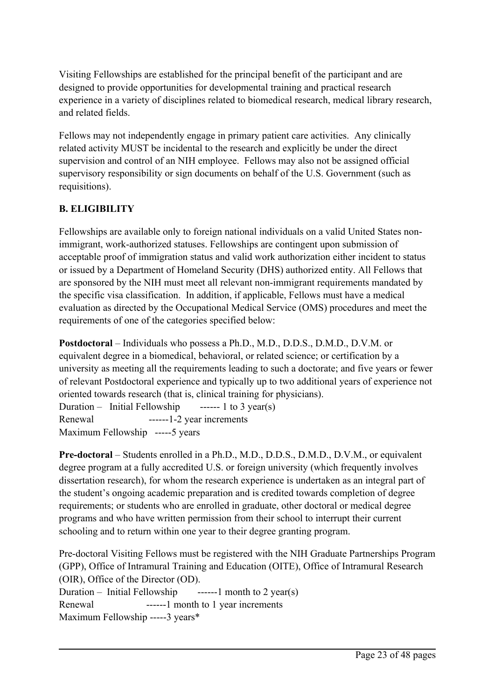Visiting Fellowships are established for the principal benefit of the participant and are designed to provide opportunities for developmental training and practical research experience in <sup>a</sup> variety of disciplines related to biomedical research, medical library research, and related fields.

Fellows may not independently engage in primary patient care activities. Any clinically related activity MUST be incidental to the research and explicitly be under the direct supervision and control of an NIH employee. Fellows may also not be assigned official supervisory responsibility or sign documents on behalf of the U.S. Government (such as requisitions).

## **B. ELIGIBILITY**

Fellowships are available only to foreign national individuals on <sup>a</sup> valid United States nonimmigrant, work-authorized statuses. Fellowships are contingent upon submission of acceptable proof of immigration status and valid work authorization either incident to status or issued by <sup>a</sup> Department of Homeland Security (DHS) authorized entity. All Fellows that are sponsored by the NIH must meet all relevant non-immigrant requirements mandated by the specific visa classification. In addition, if applicable, Fellows must have <sup>a</sup> medical evaluation as directed by the Occupational Medical Service (OMS) procedures and meet the requirements of one of the categories specified below:

**Postdoctoral** – Individuals who possess <sup>a</sup> Ph.D., M.D., D.D.S., D.M.D., D.V.M. or equivalent degree in <sup>a</sup> biomedical, behavioral, or related science; or certification by <sup>a</sup> university as meeting all the requirements leading to such <sup>a</sup> doctorate; and five years or fewer of relevant Postdoctoral experience and typically up to two additional years of experience not oriented towards research (that is, clinical training for physicians).

Duration – Initial Fellowship ------ 1 to 3 year(s) Renewal ------1-2 year increments Maximum Fellowship -----5 years

**Pre-doctoral** – Students enrolled in <sup>a</sup> Ph.D., M.D., D.D.S., D.M.D., D.V.M., or equivalent degree program at <sup>a</sup> fully accredited U.S. or foreign university (which frequently involves dissertation research), for whom the research experience is undertaken as an integral par<sup>t</sup> of the student'<sup>s</sup> ongoing academic preparation and is credited towards completion of degree requirements; or students who are enrolled in graduate, other doctoral or medical degree programs and who have written permission from their school to interrupt their current schooling and to return within one year to their degree granting program.

Pre-doctoral Visiting Fellows must be registered with the NIH Graduate Partnerships Program (GPP), Office of Intramural Training and Education (OITE), Office of Intramural Research (OIR), Office of the Director (OD). Duration – Initial Fellowship  $\qquad$  ------1 month to 2 year(s) Renewal -------1 month to 1 year increments Maximum Fellowship -----3 years\*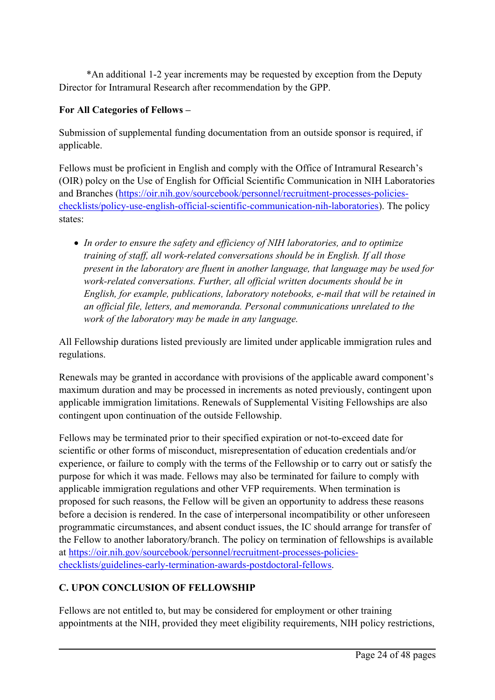\*An additional 1-2 year increments may be requested by exception from the Deputy Director for Intramural Research after recommendation by the GPP.

#### **For All Categories of Fellows –**

Submission of supplemental funding documentation from an outside sponsor is required, if applicable.

Fellows must be proficient in English and comply with the Office of Intramural Research'<sup>s</sup> (OIR) polcy on the Use of English for Official Scientific Communication in NIH Laboratories and Branches ([https://oir.nih.gov/sourcebook/personnel/recruitment-processes-policies](https://oir.nih.gov/sourcebook/personnel/recruitment-processes-policies-checklists/policy-use-english-official-scientific-communication-nih-laboratories)[checklists/policy-use-english-official-scientific-communication-nih-laboratories\)](https://oir.nih.gov/sourcebook/personnel/recruitment-processes-policies-checklists/policy-use-english-official-scientific-communication-nih-laboratories). The policy states:

 *In order to ensure the safety and efficiency of NIH laboratories, and to optimize training of staff, all work-related conversations should be in English. If all those presen<sup>t</sup> in the laboratory are fluent in another language, that language may be used for work-related conversations. Further, all official written documents should be in English, for example, publications, laboratory notebooks, e-mail that will be retained in an official file, letters, and memoranda. Personal communications unrelated to the work of the laboratory may be made in any language.*

All Fellowship durations listed previously are limited under applicable immigration rules and regulations.

Renewals may be granted in accordance with provisions of the applicable award component'<sup>s</sup> maximum duration and may be processed in increments as noted previously, contingent upon applicable immigration limitations. Renewals of Supplemental Visiting Fellowships are also contingent upon continuation of the outside Fellowship.

Fellows may be terminated prior to their specified expiration or not-to-exceed date for scientific or other forms of misconduct, misrepresentation of education credentials and/or experience, or failure to comply with the terms of the Fellowship or to carry out or satisfy the purpose for which it was made. Fellows may also be terminated for failure to comply with applicable immigration regulations and other VFP requirements. When termination is proposed for such reasons, the Fellow will be given an opportunity to address these reasons before <sup>a</sup> decision is rendered. In the case of interpersonal incompatibility or other unforeseen programmatic circumstances, and absent conduct issues, the IC should arrange for transfer of the Fellow to another laboratory/branch. The policy on termination of fellowships is available at [https://oir.nih.gov/sourcebook/personnel/recruitment-processes-policies](https://oir.nih.gov/sourcebook/personnel/recruitment-processes-policies-checklists/guidelines-early-termination-awards-postdoctoral-fellows)[checklists/guidelines-early-termination-awards-postdoctoral-fellows](https://oir.nih.gov/sourcebook/personnel/recruitment-processes-policies-checklists/guidelines-early-termination-awards-postdoctoral-fellows).

#### **C. UPON CONCLUSION OF FELLOWSHIP**

Fellows are not entitled to, but may be considered for employment or other training appointments at the NIH, provided they meet eligibility requirements, NIH policy restrictions,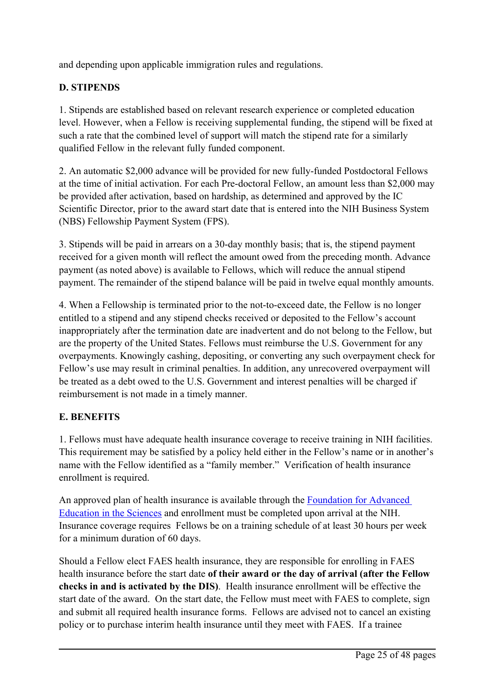and depending upon applicable immigration rules and regulations.

#### **D. STIPENDS**

1. Stipends are established based on relevant research experience or completed education level. However, when <sup>a</sup> Fellow is receiving supplemental funding, the stipend will be fixed at such <sup>a</sup> rate that the combined level of suppor<sup>t</sup> will match the stipend rate for <sup>a</sup> similarly qualified Fellow in the relevant fully funded component.

2. An automatic \$2,000 advance will be provided for new fully-funded Postdoctoral Fellows at the time of initial activation. For each Pre-doctoral Fellow, an amount less than \$2,000 may be provided after activation, based on hardship, as determined and approved by the IC Scientific Director, prior to the award start date that is entered into the NIH Business System (NBS) Fellowship Payment System (FPS).

3. Stipends will be paid in arrears on <sup>a</sup> 30-day monthly basis; that is, the stipend paymen<sup>t</sup> received for <sup>a</sup> given month will reflect the amount owed from the preceding month. Advance paymen<sup>t</sup> (as noted above) is available to Fellows, which will reduce the annual stipend payment. The remainder of the stipend balance will be paid in twelve equal monthly amounts.

4. When <sup>a</sup> Fellowship is terminated prior to the not-to-exceed date, the Fellow is no longer entitled to <sup>a</sup> stipend and any stipend checks received or deposited to the Fellow'<sup>s</sup> account inappropriately after the termination date are inadvertent and do not belong to the Fellow, but are the property of the United States. Fellows must reimburse the U.S. Government for any overpayments. Knowingly cashing, depositing, or converting any such overpaymen<sup>t</sup> check for Fellow'<sup>s</sup> use may result in criminal penalties. In addition, any unrecovered overpaymen<sup>t</sup> will be treated as <sup>a</sup> debt owed to the U.S. Government and interest penalties will be charged if reimbursement is not made in <sup>a</sup> timely manner.

#### **E. BENEFITS**

1. Fellows must have adequate health insurance coverage to receive training in NIH facilities. This requirement may be satisfied by <sup>a</sup> policy held either in the Fellow'<sup>s</sup> name or in another'<sup>s</sup> name with the Fellow identified as <sup>a</sup> "family member." Verification of health insurance enrollment is required.

An approved plan of health insurance is available through the [Foundation](https://faes.org/content/health-insurance-services) for Advanced [Education](https://faes.org/content/health-insurance-services) in the Sciences and enrollment must be completed upon arrival at the NIH. Insurance coverage requires Fellows be on <sup>a</sup> training schedule of at least 30 hours per week for <sup>a</sup> minimum duration of 60 days.

Should <sup>a</sup> Fellow elect FAES health insurance, they are responsible for enrolling in FAES health insurance before the start date **of their award or the day of arrival (after the Fellow checks in and is activated by the DIS)**. Health insurance enrollment will be effective the start date of the award. On the start date, the Fellow must meet with FAES to complete, sign and submit all required health insurance forms. Fellows are advised not to cancel an existing policy or to purchase interim health insurance until they meet with FAES. If <sup>a</sup> trainee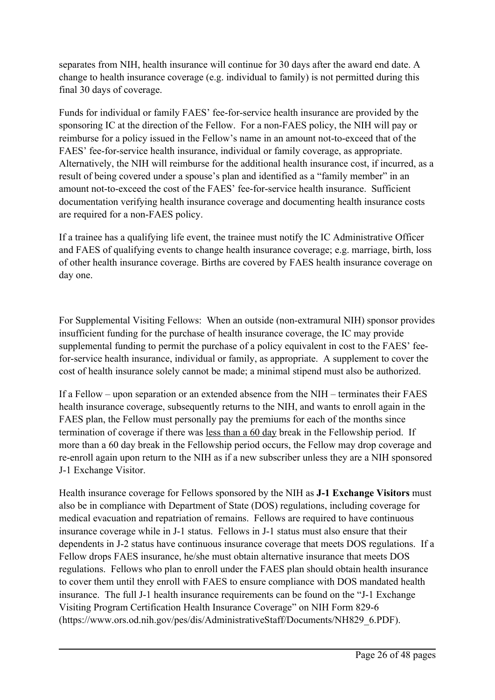separates from NIH, health insurance will continue for 30 days after the award end date. A change to health insurance coverage (e.g. individual to family) is not permitted during this final 30 days of coverage.

Funds for individual or family FAES' fee-for-service health insurance are provided by the sponsoring IC at the direction of the Fellow. For <sup>a</sup> non-FAES policy, the NIH will pay or reimburse for <sup>a</sup> policy issued in the Fellow'<sup>s</sup> name in an amount not-to-exceed that of the FAES' fee-for-service health insurance, individual or family coverage, as appropriate. Alternatively, the NIH will reimburse for the additional health insurance cost, if incurred, as <sup>a</sup> result of being covered under <sup>a</sup> spouse'<sup>s</sup> plan and identified as <sup>a</sup> "family member" in an amount not-to-exceed the cost of the FAES' fee-for-service health insurance. Sufficient documentation verifying health insurance coverage and documenting health insurance costs are required for <sup>a</sup> non-FAES policy.

If <sup>a</sup> trainee has <sup>a</sup> qualifying life event, the trainee must notify the IC Administrative Officer and FAES of qualifying events to change health insurance coverage; e.g. marriage, birth, loss of other health insurance coverage. Births are covered by FAES health insurance coverage on day one.

For Supplemental Visiting Fellows: When an outside (non-extramural NIH) sponsor provides insufficient funding for the purchase of health insurance coverage, the IC may provide supplemental funding to permit the purchase of <sup>a</sup> policy equivalent in cost to the FAES' feefor-service health insurance, individual or family, as appropriate. A supplement to cover the cost of health insurance solely cannot be made; <sup>a</sup> minimal stipend must also be authorized.

If <sup>a</sup> Fellow – upon separation or an extended absence from the NIH – terminates their FAES health insurance coverage, subsequently returns to the NIH, and wants to enroll again in the FAES plan, the Fellow must personally pay the premiums for each of the months since termination of coverage if there was less than <sup>a</sup> 60 day break in the Fellowship period. If more than <sup>a</sup> 60 day break in the Fellowship period occurs, the Fellow may drop coverage and re-enroll again upon return to the NIH as if <sup>a</sup> new subscriber unless they are <sup>a</sup> NIH sponsored J-1 Exchange Visitor.

Health insurance coverage for Fellows sponsored by the NIH as **J-1 Exchange Visitors** must also be in compliance with Department of State (DOS) regulations, including coverage for medical evacuation and repatriation of remains. Fellows are required to have continuous insurance coverage while in J-1 status. Fellows in J-1 status must also ensure that their dependents in J-2 status have continuous insurance coverage that meets DOS regulations. If <sup>a</sup> Fellow drops FAES insurance, he/she must obtain alternative insurance that meets DOS regulations. Fellows who plan to enroll under the FAES plan should obtain health insurance to cover them until they enroll with FAES to ensure compliance with DOS mandated health insurance. The full J-1 health insurance requirements can be found on the "J-1 Exchange Visiting Program Certification Health Insurance Coverage" on NIH Form 829-6 (https://www.ors.od.nih.gov/pes/dis/AdministrativeStaff/Documents/NH829\_6.PDF).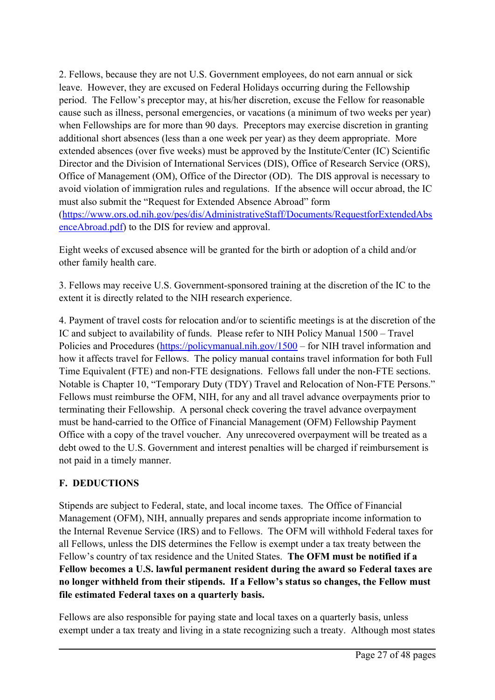2. Fellows, because they are not U.S. Government employees, do not earn annual or sick leave. However, they are excused on Federal Holidays occurring during the Fellowship period. The Fellow'<sup>s</sup> preceptor may, at his/her discretion, excuse the Fellow for reasonable cause such as illness, personal emergencies, or vacations (a minimum of two weeks per year) when Fellowships are for more than 90 days. Preceptors may exercise discretion in granting additional short absences (less than <sup>a</sup> one week per year) as they deem appropriate. More extended absences (over five weeks) must be approved by the Institute/Center (IC) Scientific Director and the Division of International Services (DIS), Office of Research Service (ORS), Office of Management (OM), Office of the Director (OD). The DIS approval is necessary to avoid violation of immigration rules and regulations. If the absence will occur abroad, the IC must also submit the "Request for Extended Absence Abroad" form ([https://www.ors.od.nih.gov/pes/dis/AdministrativeStaff/Documents/RequestforExtendedAbs](https://www.ors.od.nih.gov/pes/dis/AdministrativeStaff/Documents/RequestforExtendedAbsenceAbroad.pdf) [enceAbroad.pdf](https://www.ors.od.nih.gov/pes/dis/AdministrativeStaff/Documents/RequestforExtendedAbsenceAbroad.pdf)) to the DIS for review and approval.

Eight weeks of excused absence will be granted for the birth or adoption of <sup>a</sup> child and/or other family health care.

3. Fellows may receive U.S. Government-sponsored training at the discretion of the IC to the extent it is directly related to the NIH research experience.

4. Payment of travel costs for relocation and/or to scientific meetings is at the discretion of the IC and subject to availability of funds. Please refer to NIH Policy Manual 1500 – Travel Policies and Procedures (<https://policymanual.nih.gov/1500> – for NIH travel information and how it affects travel for Fellows. The policy manual contains travel information for both Full Time Equivalent (FTE) and non-FTE designations. Fellows fall under the non-FTE sections. Notable is Chapter 10, "Temporary Duty (TDY) Travel and Relocation of Non-FTE Persons." Fellows must reimburse the OFM, NIH, for any and all travel advance overpayments prior to terminating their Fellowship. A personal check covering the travel advance overpaymen<sup>t</sup> must be hand-carried to the Office of Financial Management (OFM) Fellowship Payment Office with <sup>a</sup> copy of the travel voucher. Any unrecovered overpaymen<sup>t</sup> will be treated as <sup>a</sup> debt owed to the U.S. Government and interest penalties will be charged if reimbursement is not paid in <sup>a</sup> timely manner.

#### **F. DEDUCTIONS**

Stipends are subject to Federal, state, and local income taxes. The Office of Financial Management (OFM), NIH, annually prepares and sends appropriate income information to the Internal Revenue Service (IRS) and to Fellows. The OFM will withhold Federal taxes for all Fellows, unless the DIS determines the Fellow is exemp<sup>t</sup> under <sup>a</sup> tax treaty between the Fellow'<sup>s</sup> country of tax residence and the United States. **The OFM must be notified if <sup>a</sup> Fellow becomes <sup>a</sup> U.S. lawful permanent resident during the award so Federal taxes are no longer withheld from their stipends. If <sup>a</sup> Fellow'<sup>s</sup> status so changes, the Fellow must file estimated Federal taxes on <sup>a</sup> quarterly basis.**

Fellows are also responsible for paying state and local taxes on <sup>a</sup> quarterly basis, unless exemp<sup>t</sup> under <sup>a</sup> tax treaty and living in <sup>a</sup> state recognizing such <sup>a</sup> treaty. Although most states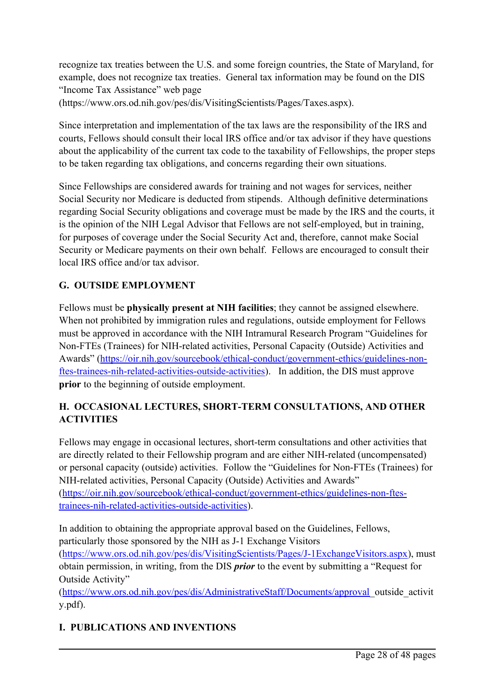recognize tax treaties between the U.S. and some foreign countries, the State of Maryland, for example, does not recognize tax treaties. General tax information may be found on the DIS "Income Tax Assistance" web page (https://www.ors.od.nih.gov/pes/dis/VisitingScientists/Pages/Taxes.aspx).

Since interpretation and implementation of the tax laws are the responsibility of the IRS and courts, Fellows should consult their local IRS office and/or tax advisor if they have questions about the applicability of the current tax code to the taxability of Fellowships, the proper steps to be taken regarding tax obligations, and concerns regarding their own situations.

Since Fellowships are considered awards for training and not wages for services, neither Social Security nor Medicare is deducted from stipends. Although definitive determinations regarding Social Security obligations and coverage must be made by the IRS and the courts, it is the opinion of the NIH Legal Advisor that Fellows are not self-employed, but in training, for purposes of coverage under the Social Security Act and, therefore, cannot make Social Security or Medicare payments on their own behalf. Fellows are encouraged to consult their local IRS office and/or tax advisor.

## **G. OUTSIDE EMPLOYMENT**

Fellows must be **physically presen<sup>t</sup> at NIH facilities**; they cannot be assigned elsewhere. When not prohibited by immigration rules and regulations, outside employment for Fellows must be approved in accordance with the NIH Intramural Research Program "Guidelines for Non-FTEs (Trainees) for NIH-related activities, Personal Capacity (Outside) Activities and Awards" ([https://oir.nih.gov/sourcebook/ethical-conduct/government-ethics/guidelines-non](https://oir.nih.gov/sourcebook/ethical-conduct/government-ethics/guidelines-non-ftes-trainees-nih-related-activities-outside-activities)[ftes-trainees-nih-related-activities-outside-activities](https://oir.nih.gov/sourcebook/ethical-conduct/government-ethics/guidelines-non-ftes-trainees-nih-related-activities-outside-activities)). In addition, the DIS must approve **prior** to the beginning of outside employment.

#### **H. OCCASIONAL LECTURES, SHORT-TERM CONSULTATIONS, AND OTHER ACTIVITIES**

Fellows may engage in occasional lectures, short-term consultations and other activities that are directly related to their Fellowship program and are either NIH-related (uncompensated) or personal capacity (outside) activities. Follow the "Guidelines for Non-FTEs (Trainees) for NIH-related activities, Personal Capacity (Outside) Activities and Awards" ([https://oir.nih.gov/sourcebook/ethical-conduct/government-ethics/guidelines-non-ftes](https://oir.nih.gov/sourcebook/ethical-conduct/government-ethics/guidelines-non-ftes-trainees-nih-related-activities-outside-activities)[trainees-nih-related-activities-outside-activities\)](https://oir.nih.gov/sourcebook/ethical-conduct/government-ethics/guidelines-non-ftes-trainees-nih-related-activities-outside-activities).

In addition to obtaining the appropriate approval based on the Guidelines, Fellows, particularly those sponsored by the NIH as J-1 Exchange Visitors ([https://www.ors.od.nih.gov/pes/dis/VisitingScientists/Pages/J-1ExchangeVisitors.aspx\)](https://www.ors.od.nih.gov/pes/dis/VisitingScientists/Pages/J-1ExchangeVisitors.aspx), must obtain permission, in writing, from the DIS *prior* to the event by submitting <sup>a</sup> "Request for Outside Activity"

([https://www.ors.od.nih.gov/pes/dis/AdministrativeStaff/Documents/approval\\_](https://www.ors.od.nih.gov/pes/dis/AdministrativeStaff/Documents/approval)outside\_activit y.pdf).

#### **I. PUBLICATIONS AND INVENTIONS**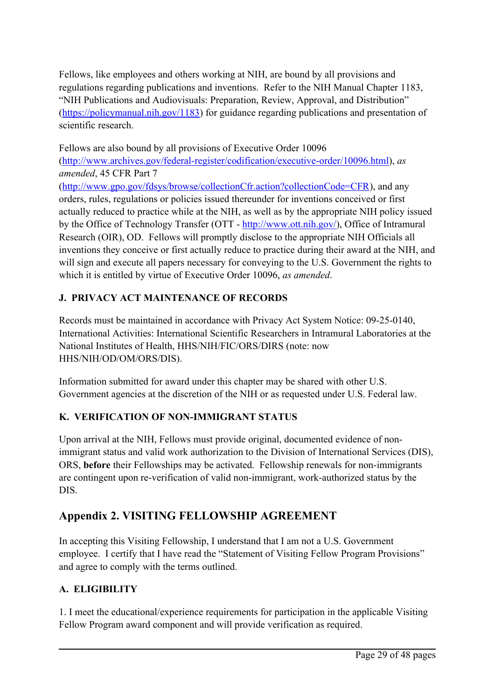Fellows, like employees and others working at NIH, are bound by all provisions and regulations regarding publications and inventions. Refer to the NIH Manual Chapter 1183, "NIH Publications and Audiovisuals: Preparation, Review, Approval, and Distribution" (<https://policymanual.nih.gov/1183>) for guidance regarding publications and presentation of scientific research.

Fellows are also bound by all provisions of Executive Order 10096 (<http://www.archives.gov/federal-register/codification/executive-order/10096.html>), *as amended*, 45 CFR Part 7

([http://www.gpo.gov/fdsys/browse/collectionCfr.action?collectionCode=CFR\)](http://www.gpo.gov/fdsys/browse/collectionCfr.action?collectionCode=CFR), and any orders, rules, regulations or policies issued thereunder for inventions conceived or first actually reduced to practice while at the NIH, as well as by the appropriate NIH policy issued by the Office of Technology Transfer (OTT - [http://www.ott.nih.gov/\)](http://www.ott.nih.gov/), Office of Intramural Research (OIR), OD. Fellows will promptly disclose to the appropriate NIH Officials all inventions they conceive or first actually reduce to practice during their award at the NIH, and will sign and execute all papers necessary for conveying to the U.S. Government the rights to which it is entitled by virtue of Executive Order 10096, *as amended*.

## **J. PRIVACY ACT MAINTENANCE OF RECORDS**

Records must be maintained in accordance with Privacy Act System Notice: 09-25-0140, International Activities: International Scientific Researchers in Intramural Laboratories at the National Institutes of Health, HHS/NIH/FIC/ORS/DIRS (note: now HHS/NIH/OD/OM/ORS/DIS).

Information submitted for award under this chapter may be shared with other U.S. Government agencies at the discretion of the NIH or as requested under U.S. Federal law.

## **K. VERIFICATION OF NON-IMMIGRANT STATUS**

Upon arrival at the NIH, Fellows must provide original, documented evidence of nonimmigrant status and valid work authorization to the Division of International Services (DIS), ORS, **before** their Fellowships may be activated. Fellowship renewals for non-immigrants are contingent upon re-verification of valid non-immigrant, work-authorized status by the DIS.

## **Appendix 2. VISITING FELLOWSHIP AGREEMENT**

In accepting this Visiting Fellowship, I understand that I am not <sup>a</sup> U.S. Government employee. I certify that I have read the "Statement of Visiting Fellow Program Provisions" and agree to comply with the terms outlined.

## **A. ELIGIBILITY**

1. I meet the educational/experience requirements for participation in the applicable Visiting Fellow Program award componen<sup>t</sup> and will provide verification as required.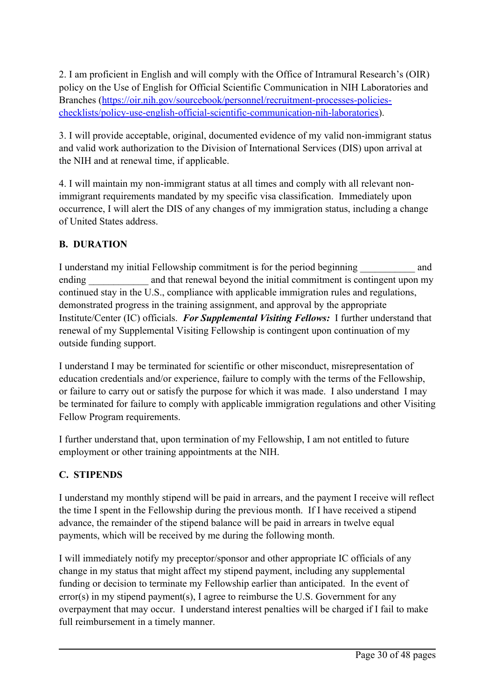2. I am proficient in English and will comply with the Office of Intramural Research'<sup>s</sup> (OIR) policy on the Use of English for Official Scientific Communication in NIH Laboratories and Branches ([https://oir.nih.gov/sourcebook/personnel/recruitment-processes-policies](https://oir.nih.gov/sourcebook/personnel/recruitment-processes-policies-checklists/policy-use-english-official-scientific-communication-nih-laboratories)[checklists/policy-use-english-official-scientific-communication-nih-laboratories\)](https://oir.nih.gov/sourcebook/personnel/recruitment-processes-policies-checklists/policy-use-english-official-scientific-communication-nih-laboratories).

3. I will provide acceptable, original, documented evidence of my valid non-immigrant status and valid work authorization to the Division of International Services (DIS) upon arrival at the NIH and at renewal time, if applicable.

4. I will maintain my non-immigrant status at all times and comply with all relevant nonimmigrant requirements mandated by my specific visa classification. Immediately upon occurrence, I will alert the DIS of any changes of my immigration status, including <sup>a</sup> change of United States address.

#### **B. DURATION**

I understand my initial Fellowship commitment is for the period beginning and ending and that renewal beyond the initial commitment is contingent upon my continued stay in the U.S., compliance with applicable immigration rules and regulations, demonstrated progress in the training assignment, and approval by the appropriate Institute/Center (IC) officials. *For Supplemental Visiting Fellows:* I further understand that renewal of my Supplemental Visiting Fellowship is contingent upon continuation of my outside funding support.

I understand I may be terminated for scientific or other misconduct, misrepresentation of education credentials and/or experience, failure to comply with the terms of the Fellowship, or failure to carry out or satisfy the purpose for which it was made. I also understand I may be terminated for failure to comply with applicable immigration regulations and other Visiting Fellow Program requirements.

I further understand that, upon termination of my Fellowship, I am not entitled to future employment or other training appointments at the NIH.

## **C. STIPENDS**

I understand my monthly stipend will be paid in arrears, and the paymen<sup>t</sup> I receive will reflect the time I spen<sup>t</sup> in the Fellowship during the previous month. If I have received <sup>a</sup> stipend advance, the remainder of the stipend balance will be paid in arrears in twelve equal payments, which will be received by me during the following month.

I will immediately notify my preceptor/sponsor and other appropriate IC officials of any change in my status that might affect my stipend payment, including any supplemental funding or decision to terminate my Fellowship earlier than anticipated. In the event of error(s) in my stipend payment(s), I agree to reimburse the U.S. Government for any overpaymen<sup>t</sup> that may occur. I understand interest penalties will be charged if I fail to make full reimbursement in <sup>a</sup> timely manner.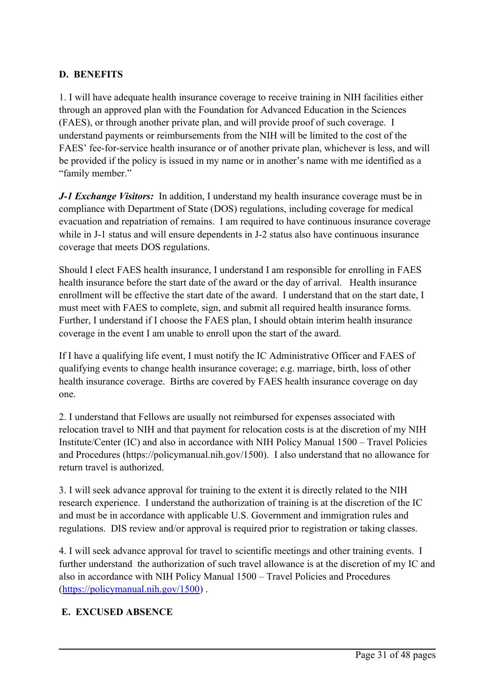#### **D. BENEFITS**

1. I will have adequate health insurance coverage to receive training in NIH facilities either through an approved plan with the Foundation for Advanced Education in the Sciences (FAES), or through another private plan, and will provide proof of such coverage. I understand payments or reimbursements from the NIH will be limited to the cost of the FAES' fee-for-service health insurance or of another private plan, whichever is less, and will be provided if the policy is issued in my name or in another'<sup>s</sup> name with me identified as <sup>a</sup> "family member."

*J-1 Exchange Visitors:* In addition, I understand my health insurance coverage must be in compliance with Department of State (DOS) regulations, including coverage for medical evacuation and repatriation of remains. I am required to have continuous insurance coverage while in J-1 status and will ensure dependents in J-2 status also have continuous insurance coverage that meets DOS regulations.

Should I elect FAES health insurance, I understand I am responsible for enrolling in FAES health insurance before the start date of the award or the day of arrival. Health insurance enrollment will be effective the start date of the award. I understand that on the start date, I must meet with FAES to complete, sign, and submit all required health insurance forms. Further, I understand if I choose the FAES plan, I should obtain interim health insurance coverage in the event I am unable to enroll upon the start of the award.

If I have <sup>a</sup> qualifying life event, I must notify the IC Administrative Officer and FAES of qualifying events to change health insurance coverage; e.g. marriage, birth, loss of other health insurance coverage. Births are covered by FAES health insurance coverage on day one.

2. I understand that Fellows are usually not reimbursed for expenses associated with relocation travel to NIH and that paymen<sup>t</sup> for relocation costs is at the discretion of my NIH Institute/Center (IC) and also in accordance with NIH Policy Manual 1500 – Travel Policies and Procedures (https://policymanual.nih.gov/1500). I also understand that no allowance for return travel is authorized.

3. I will seek advance approval for training to the extent it is directly related to the NIH research experience. I understand the authorization of training is at the discretion of the IC and must be in accordance with applicable U.S. Government and immigration rules and regulations. DIS review and/or approval is required prior to registration or taking classes.

4. I will seek advance approval for travel to scientific meetings and other training events. I further understand the authorization of such travel allowance is at the discretion of my IC and also in accordance with NIH Policy Manual 1500 – Travel Policies and Procedures (<https://policymanual.nih.gov/1500>) .

#### **E. EXCUSED ABSENCE**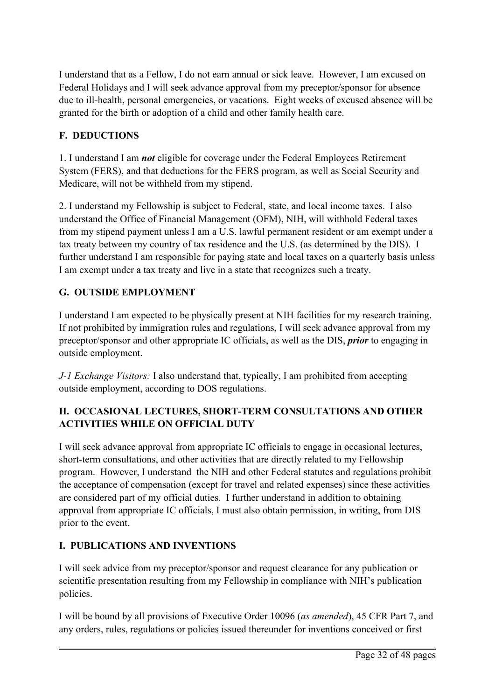I understand that as <sup>a</sup> Fellow, I do not earn annual or sick leave. However, I am excused on Federal Holidays and I will seek advance approval from my preceptor/sponsor for absence due to ill-health, personal emergencies, or vacations. Eight weeks of excused absence will be granted for the birth or adoption of <sup>a</sup> child and other family health care.

#### **F. DEDUCTIONS**

1. I understand I am *not* eligible for coverage under the Federal Employees Retirement System (FERS), and that deductions for the FERS program, as well as Social Security and Medicare, will not be withheld from my stipend.

2. I understand my Fellowship is subject to Federal, state, and local income taxes. I also understand the Office of Financial Management (OFM), NIH, will withhold Federal taxes from my stipend paymen<sup>t</sup> unless I am <sup>a</sup> U.S. lawful permanen<sup>t</sup> resident or am exemp<sup>t</sup> under <sup>a</sup> tax treaty between my country of tax residence and the U.S. (as determined by the DIS). I further understand I am responsible for paying state and local taxes on <sup>a</sup> quarterly basis unless I am exemp<sup>t</sup> under <sup>a</sup> tax treaty and live in <sup>a</sup> state that recognizes such <sup>a</sup> treaty.

#### **G. OUTSIDE EMPLOYMENT**

I understand I am expected to be physically presen<sup>t</sup> at NIH facilities for my research training. If not prohibited by immigration rules and regulations, I will seek advance approval from my preceptor/sponsor and other appropriate IC officials, as well as the DIS, *prior* to engaging in outside employment.

*J-1 Exchange Visitors:* I also understand that, typically, I am prohibited from accepting outside employment, according to DOS regulations.

#### **H. OCCASIONAL LECTURES, SHORT-TERM CONSULTATIONS AND OTHER ACTIVITIES WHILE ON OFFICIAL DUTY**

I will seek advance approval from appropriate IC officials to engage in occasional lectures, short-term consultations, and other activities that are directly related to my Fellowship program. However, I understand the NIH and other Federal statutes and regulations prohibit the acceptance of compensation (except for travel and related expenses) since these activities are considered par<sup>t</sup> of my official duties. I further understand in addition to obtaining approval from appropriate IC officials, I must also obtain permission, in writing, from DIS prior to the event.

#### **I. PUBLICATIONS AND INVENTIONS**

I will seek advice from my preceptor/sponsor and reques<sup>t</sup> clearance for any publication or scientific presentation resulting from my Fellowship in compliance with NIH'<sup>s</sup> publication policies.

I will be bound by all provisions of Executive Order 10096 (*as amended*), 45 CFR Part 7, and any orders, rules, regulations or policies issued thereunder for inventions conceived or first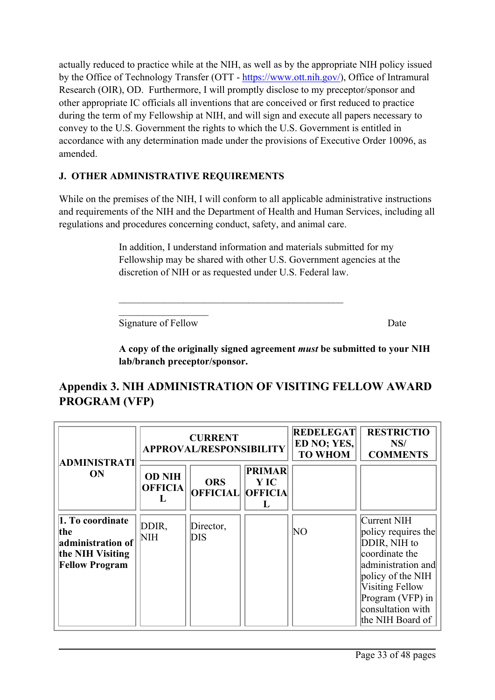actually reduced to practice while at the NIH, as well as by the appropriate NIH policy issued by the Office of Technology Transfer (OTT - <https://www.ott.nih.gov/>), Office of Intramural Research (OIR), OD. Furthermore, I will promptly disclose to my preceptor/sponsor and other appropriate IC officials all inventions that are conceived or first reduced to practice during the term of my Fellowship at NIH, and will sign and execute all papers necessary to convey to the U.S. Government the rights to which the U.S. Government is entitled in accordance with any determination made under the provisions of Executive Order 10096, as amended.

#### **J. OTHER ADMINISTRATIVE REQUIREMENTS**

While on the premises of the NIH, I will conform to all applicable administrative instructions and requirements of the NIH and the Department of Health and Human Services, including all regulations and procedures concerning conduct, safety, and animal care.

> In addition, I understand information and materials submitted for my Fellowship may be shared with other U.S. Government agencies at the discretion of NIH or as requested under U.S. Federal law.

 $\mathcal{L}=\mathcal{L}=\mathcal{L}=\mathcal{L}=\mathcal{L}=\mathcal{L}=\mathcal{L}=\mathcal{L}=\mathcal{L}=\mathcal{L}=\mathcal{L}=\mathcal{L}=\mathcal{L}=\mathcal{L}=\mathcal{L}=\mathcal{L}=\mathcal{L}=\mathcal{L}=\mathcal{L}=\mathcal{L}=\mathcal{L}=\mathcal{L}=\mathcal{L}=\mathcal{L}=\mathcal{L}=\mathcal{L}=\mathcal{L}=\mathcal{L}=\mathcal{L}=\mathcal{L}=\mathcal{L}=\mathcal{L}=\mathcal{L}=\mathcal{L}=\mathcal{L}=\mathcal{L}=\mathcal{$ Signature of Fellow Date

**A copy of the originally signed agreement** *must* **be submitted to your NIH lab/branch preceptor/sponsor.**

## **Appendix 3. NIH ADMINISTRATION OF VISITING FELLOW AWARD PROGRAM (VFP)**

\_\_\_\_\_\_\_\_\_\_\_\_\_\_\_\_\_\_\_\_\_\_\_\_\_\_\_\_\_\_\_\_\_\_\_\_\_\_\_\_\_\_\_\_\_

| ADMINISTRATI<br>ON                                                                        | <b>CURRENT</b><br><b>APPROVAL/RESPONSIBILITY</b> |                                       |                              | <b>REDELEGAT</b><br>ED NO; YES,<br><b>TO WHOM</b> | <b>RESTRICTIO</b><br>NS/<br><b>COMMENTS</b>                                                                                                                                                     |
|-------------------------------------------------------------------------------------------|--------------------------------------------------|---------------------------------------|------------------------------|---------------------------------------------------|-------------------------------------------------------------------------------------------------------------------------------------------------------------------------------------------------|
|                                                                                           | <b>OD NIH</b><br><b>OFFICIA</b>                  | <b>ORS</b><br><b>OFFICIAL OFFICIA</b> | <b>PRIMAR</b><br><b>Y</b> IC |                                                   |                                                                                                                                                                                                 |
| 1. To coordinate<br>the<br>administration of<br>the NIH Visiting<br><b>Fellow Program</b> | DDIR,<br>NIH                                     | Director,<br>DIS                      |                              | NO                                                | Current NIH<br>policy requires the<br>DDIR, NIH to<br>coordinate the<br>administration and<br>policy of the NIH<br>Visiting Fellow<br>Program (VFP) in<br>consultation with<br>the NIH Board of |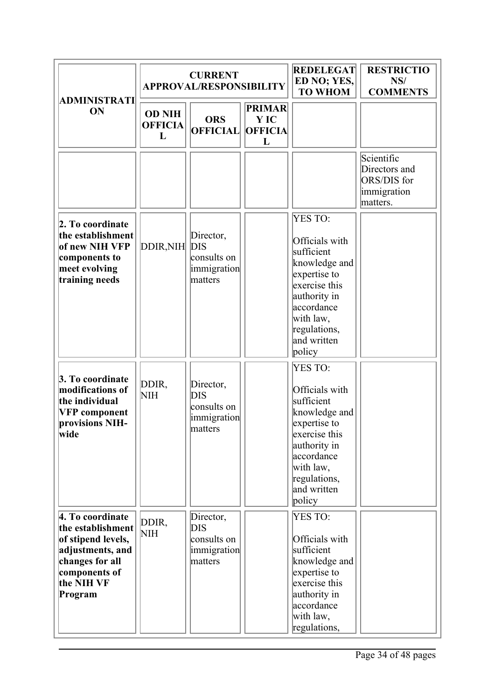|                                                                                                                                              | <b>CURRENT</b><br><b>APPROVAL/RESPONSIBILITY</b> |                                                                  |                                              | <b>REDELEGAT</b><br>ED NO; YES,<br><b>TO WHOM</b>                                                                                                                                    | <b>RESTRICTIO</b><br>NS/<br><b>COMMENTS</b>                           |
|----------------------------------------------------------------------------------------------------------------------------------------------|--------------------------------------------------|------------------------------------------------------------------|----------------------------------------------|--------------------------------------------------------------------------------------------------------------------------------------------------------------------------------------|-----------------------------------------------------------------------|
| ADMINISTRATI<br>ON                                                                                                                           | <b>OD NIH</b><br><b>OFFICIA</b><br>L             | <b>ORS</b><br><b>OFFICIAL</b>                                    | <b>PRIMAR</b><br>Y IC<br><b>OFFICIA</b><br>L |                                                                                                                                                                                      |                                                                       |
| 2. To coordinate<br>the establishment<br>of new NIH VFP<br>components to<br>meet evolving<br>training needs                                  | DDIR, NIH                                        | Director,<br><b>DIS</b><br>consults on<br>immigration<br>matters |                                              | <b>YES TO:</b><br>Officials with<br>sufficient<br>knowledge and<br>expertise to<br>exercise this<br>authority in<br>accordance<br>with law,<br>regulations,<br>and written<br>policy | Scientific<br>Directors and<br>ORS/DIS for<br>immigration<br>matters. |
| 3. To coordinate<br>modifications of<br>the individual<br><b>VFP</b> component<br>provisions NIH-<br>wide                                    | DDIR,<br>NIH                                     | Director,<br><b>DIS</b><br>consults on<br>immigration<br>matters |                                              | <b>YES TO:</b><br>Officials with<br>sufficient<br>knowledge and<br>expertise to<br>exercise this<br>authority in<br>accordance<br>with law,<br>regulations,<br>and written<br>policy |                                                                       |
| 4. To coordinate<br>the establishment<br>of stipend levels,<br>adjustments, and<br>changes for all<br>components of<br>the NIH VF<br>Program | DDIR,<br>NIH                                     | Director,<br>DIS<br>consults on<br>immigration<br>matters        |                                              | YES TO:<br>Officials with<br>sufficient<br>knowledge and<br>expertise to<br>exercise this<br>authority in<br>accordance<br>with law,<br>regulations,                                 |                                                                       |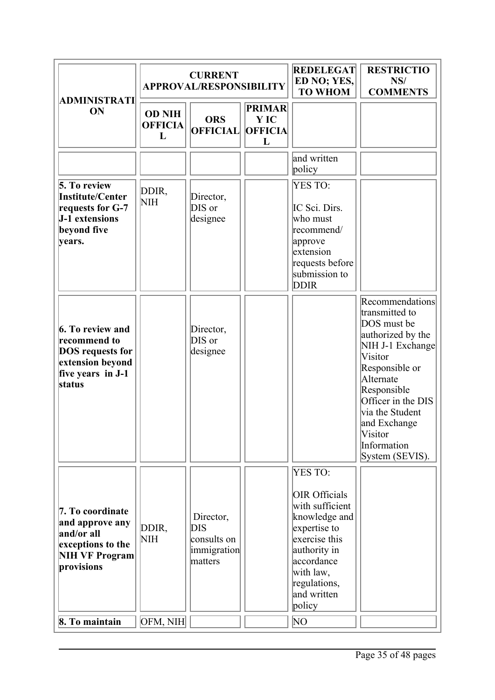|                                                                                                                       | <b>CURRENT</b><br><b>APPROVAL/RESPONSIBILITY</b> |                                                                  |                                              | <b>REDELEGAT</b><br>ED NO; YES,<br><b>TO WHOM</b>                                                                                                                                        | <b>RESTRICTIO</b><br>NS/<br><b>COMMENTS</b>                                                                                                                                                                                                              |
|-----------------------------------------------------------------------------------------------------------------------|--------------------------------------------------|------------------------------------------------------------------|----------------------------------------------|------------------------------------------------------------------------------------------------------------------------------------------------------------------------------------------|----------------------------------------------------------------------------------------------------------------------------------------------------------------------------------------------------------------------------------------------------------|
| ADMINISTRATI<br>ON                                                                                                    | <b>OD NIH</b><br><b>OFFICIA</b><br>L             | <b>ORS</b><br><b>OFFICIAL</b>                                    | <b>PRIMAR</b><br>Y IC<br><b>OFFICIA</b><br>L |                                                                                                                                                                                          |                                                                                                                                                                                                                                                          |
|                                                                                                                       |                                                  |                                                                  |                                              | and written<br>policy                                                                                                                                                                    |                                                                                                                                                                                                                                                          |
| 5. To review<br>Institute/Center<br>requests for G-7<br><b>J-1</b> extensions<br>beyond five<br>vears.                | DDIR,<br>NIH                                     | Director,<br>DIS or<br>designee                                  |                                              | <b>YES TO:</b><br>IC Sci. Dirs.<br>who must<br>recommend/<br>approve<br>extension<br>requests before<br>submission to<br><b>DDIR</b>                                                     |                                                                                                                                                                                                                                                          |
| <b>6. To review and</b><br>recommend to<br><b>DOS</b> requests for<br>extension beyond<br>five years in J-1<br>status |                                                  | Director,<br>DIS or<br>designee                                  |                                              |                                                                                                                                                                                          | Recommendations<br>transmitted to<br>DOS must be<br>authorized by the<br>NIH J-1 Exchange<br>Visitor<br>Responsible or<br>Alternate<br>Responsible<br>Officer in the DIS<br>via the Student<br>and Exchange<br>Visitor<br>Information<br>System (SEVIS). |
| 7. To coordinate<br>and approve any<br>and/or all<br>exceptions to the<br>NIH VF Program<br>provisions                | DDIR,<br>NIH                                     | Director,<br><b>DIS</b><br>consults on<br>immigration<br>matters |                                              | YES TO:<br><b>OIR Officials</b><br>with sufficient<br>knowledge and<br>expertise to<br>exercise this<br>authority in<br>accordance<br>with law,<br>regulations,<br>and written<br>policy |                                                                                                                                                                                                                                                          |
| 8. To maintain                                                                                                        | OFM, NIH                                         |                                                                  |                                              | NΟ                                                                                                                                                                                       |                                                                                                                                                                                                                                                          |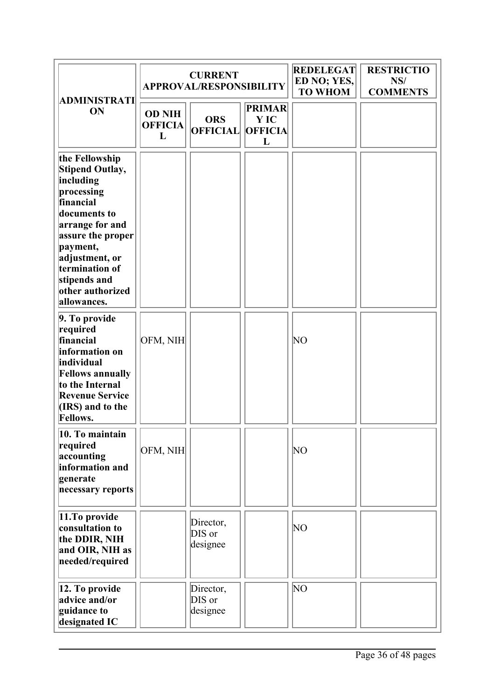|                                                                                                                                                                                                                                      |                                      | <b>CURRENT</b><br><b>APPROVAL/RESPONSIBILITY</b> |                                              | <b>REDELEGAT</b><br>ED NO; YES,<br><b>TO WHOM</b> | <b>RESTRICTIO</b><br>NS/<br><b>COMMENTS</b> |
|--------------------------------------------------------------------------------------------------------------------------------------------------------------------------------------------------------------------------------------|--------------------------------------|--------------------------------------------------|----------------------------------------------|---------------------------------------------------|---------------------------------------------|
| ADMINISTRATI<br>ON                                                                                                                                                                                                                   | <b>OD NIH</b><br><b>OFFICIA</b><br>L | <b>ORS</b><br><b>OFFICIAL</b>                    | <b>PRIMAR</b><br>Y IC<br><b>OFFICIA</b><br>L |                                                   |                                             |
| the Fellowship<br>Stipend Outlay,<br>including<br>processing<br>financial<br>documents to<br>arrange for and<br>assure the proper<br>payment,<br>adjustment, or<br>termination of<br>stipends and<br>other authorized<br>allowances. |                                      |                                                  |                                              |                                                   |                                             |
| 9. To provide<br>required<br>financial<br>information on<br>individual<br><b>Fellows annually</b><br>to the Internal<br><b>Revenue Service</b><br>(IRS) and to the<br><b>Fellows.</b>                                                | OFM, NIH                             |                                                  |                                              | NO                                                |                                             |
| 10. To maintain<br>required<br>accounting<br>information and<br>generate<br>necessary reports                                                                                                                                        | OFM, NIH                             |                                                  |                                              | NO                                                |                                             |
| 11.To provide<br>consultation to<br>the DDIR, NIH<br>and OIR, NIH as<br>needed/required                                                                                                                                              |                                      | Director,<br>DIS or<br>designee                  |                                              | NO                                                |                                             |
| 12. To provide<br>advice and/or<br>guidance to<br>designated IC                                                                                                                                                                      |                                      | Director,<br>DIS or<br>designee                  |                                              | NΟ                                                |                                             |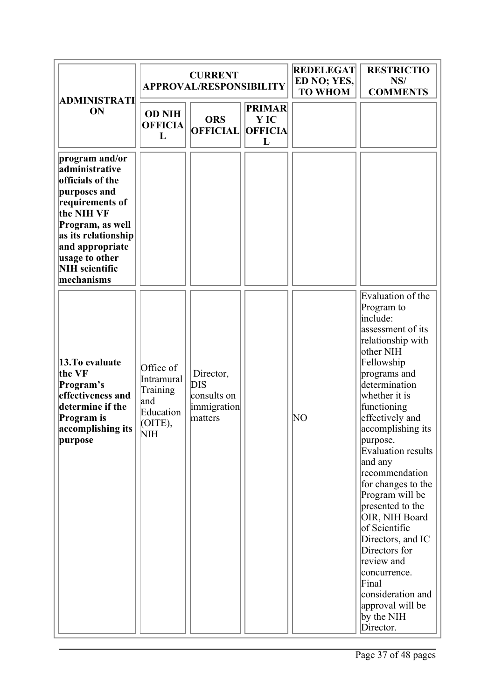|                                                                                                                                                                                                                              | <b>CURRENT</b><br><b>APPROVAL/RESPONSIBILITY</b>                            |                                                                  |                                              | <b>REDELEGAT</b><br>ED NO; YES,<br><b>TO WHOM</b> | <b>RESTRICTIO</b><br>NS/<br><b>COMMENTS</b>                                                                                                                                                                                                                                                                                                                                                                                                                                                                                               |
|------------------------------------------------------------------------------------------------------------------------------------------------------------------------------------------------------------------------------|-----------------------------------------------------------------------------|------------------------------------------------------------------|----------------------------------------------|---------------------------------------------------|-------------------------------------------------------------------------------------------------------------------------------------------------------------------------------------------------------------------------------------------------------------------------------------------------------------------------------------------------------------------------------------------------------------------------------------------------------------------------------------------------------------------------------------------|
| ADMINISTRATI<br>ON                                                                                                                                                                                                           | <b>OD NIH</b><br><b>OFFICIA</b><br>L                                        | <b>ORS</b><br><b>OFFICIAL</b>                                    | <b>PRIMAR</b><br>Y IC<br><b>OFFICIA</b><br>L |                                                   |                                                                                                                                                                                                                                                                                                                                                                                                                                                                                                                                           |
| program and/or<br>administrative<br>officials of the<br>purposes and<br>requirements of<br>the NIH VF<br>Program, as well<br>as its relationship<br>and appropriate<br>usage to other<br><b>NIH</b> scientific<br>mechanisms |                                                                             |                                                                  |                                              |                                                   |                                                                                                                                                                                                                                                                                                                                                                                                                                                                                                                                           |
| 13. To evaluate<br>the VF<br>Program's<br>effectiveness and<br>determine if the<br>Program is<br>accomplishing its<br>purpose                                                                                                | Office of<br>Intramural<br>Training<br>land<br>Education<br>(OITE),<br>ΙNΙH | Director,<br><b>DIS</b><br>consults on<br>immigration<br>matters |                                              | NO                                                | Evaluation of the<br>Program to<br>include:<br>assessment of its<br>relationship with<br>other NIH<br>Fellowship<br>programs and<br>determination<br>whether it is<br>functioning<br>effectively and<br>accomplishing its<br>purpose.<br>Evaluation results<br>and any<br>recommendation<br>for changes to the<br>Program will be<br>presented to the<br>OIR, NIH Board<br>of Scientific<br>Directors, and IC<br>Directors for<br>review and<br>concurrence.<br>Final<br>consideration and<br>approval will be<br>by the NIH<br>Director. |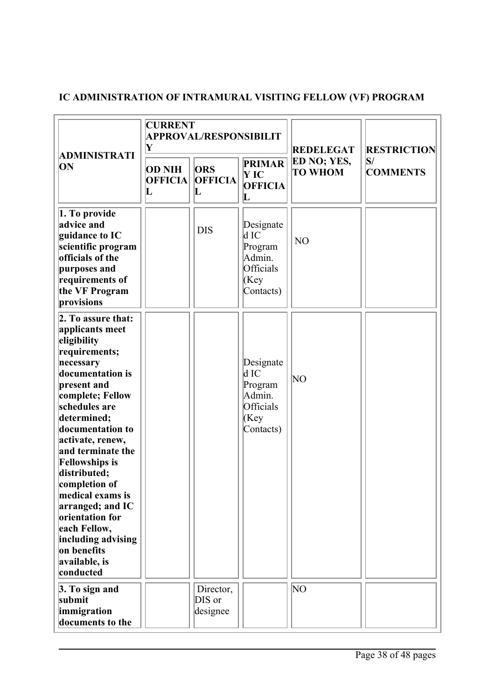## **IC ADMINISTRATION OF INTRAMURAL VISITING FELLOW (VF) PROGRAM**

|                                                                                                                                                                                                                                                                                                                                                                                                                                                | <b>CURRENT</b><br><b>APPROVAL/RESPONSIBILIT</b><br>Y |                                             |                                                                            | <b>REDELEGAT</b>              | <b>RESTRICTION</b>               |
|------------------------------------------------------------------------------------------------------------------------------------------------------------------------------------------------------------------------------------------------------------------------------------------------------------------------------------------------------------------------------------------------------------------------------------------------|------------------------------------------------------|---------------------------------------------|----------------------------------------------------------------------------|-------------------------------|----------------------------------|
| ADMINISTRATI<br>ON                                                                                                                                                                                                                                                                                                                                                                                                                             | <b>OD NIH</b><br><b>OFFICIA</b><br>$\bf L$           | <b>ORS</b><br><b>OFFICIA</b><br>$\mathbf L$ | <b>PRIMAR</b><br><b>Y</b> IC<br><b>OFFICIA</b><br>$\bf L$                  | ED NO; YES,<br><b>TO WHOM</b> | $\mathbf{S}/$<br><b>COMMENTS</b> |
| 1. To provide<br>advice and<br>guidance to IC<br>scientific program<br>officials of the<br>purposes and<br>requirements of<br>the VF Program<br>provisions                                                                                                                                                                                                                                                                                     |                                                      | <b>DIS</b>                                  | Designate<br>$d$ IC<br>Program<br>Admin.<br>Officials<br>(Key<br>Contacts) | NO                            |                                  |
| 2. To assure that:<br>applicants meet<br>eligibility<br>requirements;<br>necessary<br>documentation is<br>present and<br>complete; Fellow<br>schedules are<br>determined;<br>documentation to<br>activate, renew,<br>and terminate the<br><b>Fellowships is</b><br>distributed;<br>completion of<br>medical exams is<br>arranged; and IC<br>orientation for<br>each Fellow,<br>including advising<br>on benefits<br>available, is<br>conducted |                                                      |                                             | Designate<br>d IC<br>Program<br>Admin.<br>Officials<br>(Key<br>Contacts)   | NΟ                            |                                  |
| 3. To sign and<br>submit<br>immigration<br>documents to the                                                                                                                                                                                                                                                                                                                                                                                    |                                                      | Director,<br>DIS or<br>designee             |                                                                            | NO                            |                                  |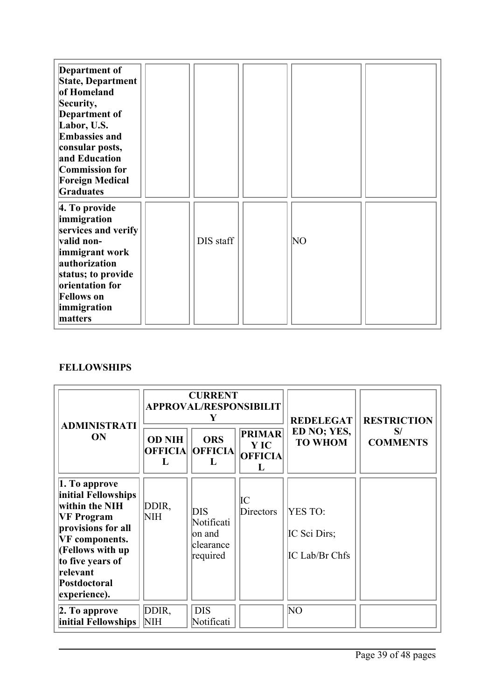| Department of<br>State, Department<br>of Homeland<br>Security,<br>Department of<br>Labor, U.S.<br><b>Embassies and</b><br>consular posts,<br>and Education<br>Commission for<br><b>Foreign Medical</b><br>Graduates |           |    |  |
|---------------------------------------------------------------------------------------------------------------------------------------------------------------------------------------------------------------------|-----------|----|--|
| 4. To provide<br>immigration<br>services and verify<br>valid non-<br>immigrant work<br>authorization<br>status; to provide<br>orientation for<br><b>Fellows</b> on<br>immigration<br>matters                        | DIS staff | NΟ |  |

#### **FELLOWSHIPS**

| <b>ADMINISTRATI</b>                                                                                                                                                                                            |                                      | <b>CURRENT</b><br><b>APPROVAL/RESPONSIBILIT</b><br>Y        |                                                     | <b>REDELEGAT</b>                                 | <b>RESTRICTION</b>    |
|----------------------------------------------------------------------------------------------------------------------------------------------------------------------------------------------------------------|--------------------------------------|-------------------------------------------------------------|-----------------------------------------------------|--------------------------------------------------|-----------------------|
| <b>ON</b>                                                                                                                                                                                                      | <b>OD NIH</b><br><b>OFFICIA</b><br>L | <b>ORS</b><br><b>OFFICIA</b><br>L                           | <b>PRIMAR</b><br><b>Y</b> IC<br><b>OFFICIA</b><br>L | ED NO; YES,<br><b>TO WHOM</b>                    | S/<br><b>COMMENTS</b> |
| 1. To approve<br>initial Fellowships<br>within the NIH<br><b>VF Program</b><br>provisions for all<br><b>VF</b> components.<br>(Fellows with up<br>to five years of<br>relevant<br>Postdoctoral<br>experience). | DDIR,<br><b>NIH</b>                  | <b>DIS</b><br>Notificati<br>on and<br>clearance<br>required | IС<br>Directors                                     | <b>YES TO:</b><br>IC Sci Dirs;<br>IC Lab/Br Chfs |                       |
| 2. To approve<br>initial Fellowships                                                                                                                                                                           | DDIR,<br>NIH                         | <b>DIS</b><br>Notificati                                    |                                                     | NO                                               |                       |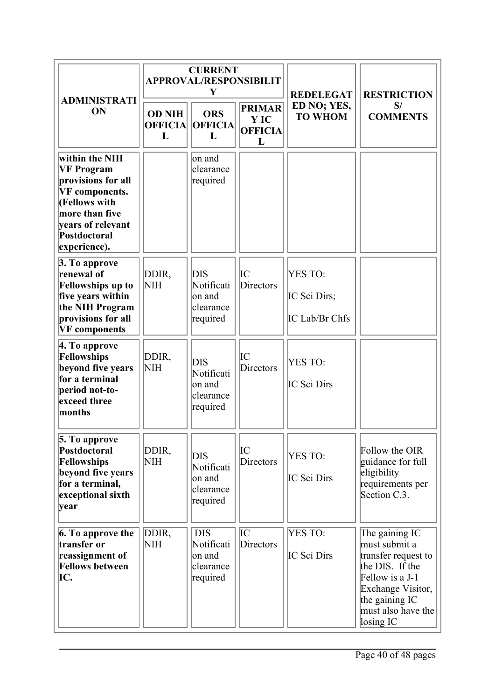|                                                                                                                                                                            |                                      | <b>CURRENT</b><br><b>APPROVAL/RESPONSIBILIT</b><br>Y        |                                              | <b>REDELEGAT</b>                          | <b>RESTRICTION</b>                                                                                                                                                     |
|----------------------------------------------------------------------------------------------------------------------------------------------------------------------------|--------------------------------------|-------------------------------------------------------------|----------------------------------------------|-------------------------------------------|------------------------------------------------------------------------------------------------------------------------------------------------------------------------|
| <b>ADMINISTRATI</b><br>ON                                                                                                                                                  | <b>OD NIH</b><br><b>OFFICIA</b><br>L | <b>ORS</b><br><b>OFFICIA</b><br>L                           | <b>PRIMAR</b><br>Y IC<br><b>OFFICIA</b><br>L | ED NO; YES,<br><b>TO WHOM</b>             | S/<br><b>COMMENTS</b>                                                                                                                                                  |
| within the NIH<br><b>VF Program</b><br>provisions for all<br><b>VF</b> components.<br>(Fellows with<br>more than five<br>years of relevant<br>Postdoctoral<br>experience). |                                      | on and<br>clearance<br>required                             |                                              |                                           |                                                                                                                                                                        |
| 3. To approve<br>renewal of<br><b>Fellowships up to</b><br>five years within<br>the NIH Program<br>provisions for all<br><b>VF</b> components                              | DDIR,<br><b>NIH</b>                  | <b>DIS</b><br>Notificati<br>on and<br>clearance<br>required | IC<br>Directors                              | YES TO:<br>IC Sci Dirs;<br>IC Lab/Br Chfs |                                                                                                                                                                        |
| 4. To approve<br>Fellowships<br>beyond five years<br>for a terminal<br>period not-to-<br>exceed three<br>months                                                            | DDIR,<br><b>NIH</b>                  | DIS<br>Notificati<br>on and<br>clearance<br>required        | IС<br><b>Directors</b>                       | YES TO:<br>IC Sci Dirs                    |                                                                                                                                                                        |
| 5. To approve<br>Postdoctoral<br>Fellowships<br>beyond five years<br>for a terminal,<br>exceptional sixth<br> year                                                         | DDIR,<br><b>NIH</b>                  | DIS<br>Notificati<br>on and<br>clearance<br>required        | IС<br><b>Directors</b>                       | <b>YES TO:</b><br>IC Sci Dirs             | Follow the OIR<br>guidance for full<br>eligibility<br>requirements per<br>Section C.3.                                                                                 |
| 6. To approve the<br>transfer or<br>reassignment of<br><b>Fellows between</b><br>IC.                                                                                       | DDIR,<br><b>NIH</b>                  | <b>DIS</b><br>Notificati<br>on and<br>clearance<br>required | IС<br><b>Directors</b>                       | YES TO:<br>IC Sci Dirs                    | The gaining IC<br>must submit a<br>transfer request to<br>the DIS. If the<br>Fellow is a J-1<br>Exchange Visitor,<br>the gaining IC<br>must also have the<br>losing IC |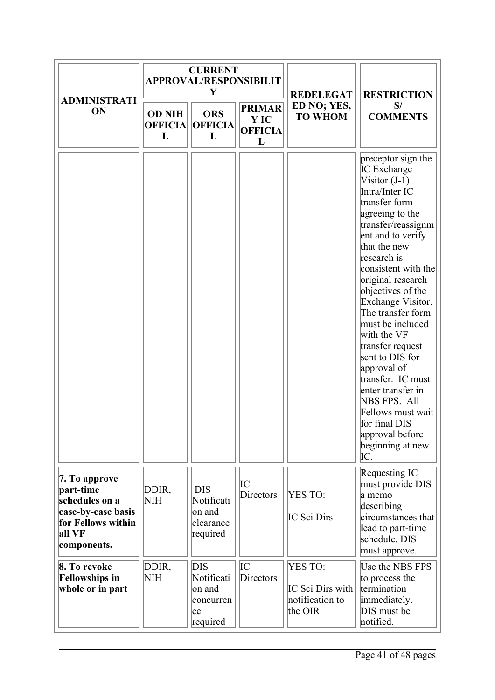|                                                                                                                   |                                      | <b>CURRENT</b><br><b>APPROVAL/RESPONSIBILIT</b><br>Y        |                                              | <b>REDELEGAT</b>                                          | <b>RESTRICTION</b>                                                                                                                                                                                                                                                                                                                                                                                                                                                                                                                            |
|-------------------------------------------------------------------------------------------------------------------|--------------------------------------|-------------------------------------------------------------|----------------------------------------------|-----------------------------------------------------------|-----------------------------------------------------------------------------------------------------------------------------------------------------------------------------------------------------------------------------------------------------------------------------------------------------------------------------------------------------------------------------------------------------------------------------------------------------------------------------------------------------------------------------------------------|
| <b>ADMINISTRATI</b><br>ON                                                                                         | <b>OD NIH</b><br><b>OFFICIA</b><br>L | <b>ORS</b><br><b>OFFICIA</b><br>L                           | <b>PRIMAR</b><br>Y IC<br><b>OFFICIA</b><br>L | ED NO; YES,<br><b>TO WHOM</b>                             | S/<br><b>COMMENTS</b>                                                                                                                                                                                                                                                                                                                                                                                                                                                                                                                         |
|                                                                                                                   |                                      |                                                             |                                              |                                                           | preceptor sign the<br><b>IC</b> Exchange<br>Visitor $(J-1)$<br>Intra/Inter IC<br>transfer form<br>agreeing to the<br>transfer/reassignm<br>ent and to verify<br>that the new<br>research is<br>consistent with the<br>original research<br>objectives of the<br>Exchange Visitor.<br>The transfer form<br>must be included<br>with the VF<br>transfer request<br>sent to DIS for<br>approval of<br>transfer. IC must<br>enter transfer in<br>NBS FPS. All<br>Fellows must wait<br>for final DIS<br>approval before<br>beginning at new<br>IC. |
| 7. To approve<br>part-time<br>schedules on a<br>case-by-case basis<br>for Fellows within<br>all VF<br>components. | DDIR,<br><b>NIH</b>                  | <b>DIS</b><br>Notificati<br>on and<br>clearance<br>required | IС<br>Directors                              | YES TO:<br>IC Sci Dirs                                    | Requesting IC<br>must provide DIS<br>a memo<br>describing<br>circumstances that<br>lead to part-time<br>schedule. DIS<br>must approve.                                                                                                                                                                                                                                                                                                                                                                                                        |
| 8. To revoke<br><b>Fellowships in</b><br>whole or in part                                                         | DDIR,<br>NH                          | DIS<br>Notificati<br>on and<br>concurren<br>lce<br>required | IС<br>Directors                              | YES TO:<br>IC Sci Dirs with<br>notification to<br>the OIR | Use the NBS FPS<br>to process the<br>termination<br>immediately.<br>DIS must be<br>notified.                                                                                                                                                                                                                                                                                                                                                                                                                                                  |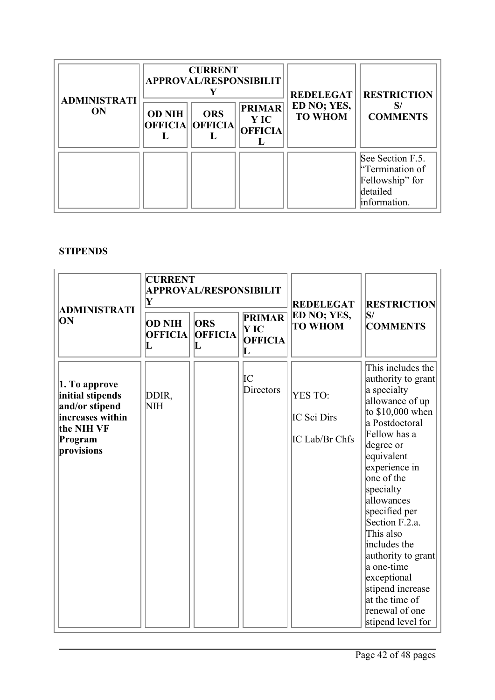| <b>ADMINISTRATI</b> | <b>CURRENT</b><br><b>APPROVAL/RESPONSIBILIT</b> |                              |                                                | <b>REDELEGAT</b>              | <b>RESTRICTION</b>                                                                 |
|---------------------|-------------------------------------------------|------------------------------|------------------------------------------------|-------------------------------|------------------------------------------------------------------------------------|
| ON                  | <b>OD NIH</b><br><b>OFFICIA</b>                 | <b>ORS</b><br><b>OFFICIA</b> | <b>PRIMAR</b><br><b>Y</b> IC<br><b>OFFICIA</b> | ED NO; YES,<br><b>TO WHOM</b> | <b>COMMENTS</b>                                                                    |
|                     |                                                 |                              |                                                |                               | See Section F.5.<br>"Termination of<br>Fellowship" for<br>detailed<br>information. |

#### **STIPENDS**

|                                                                                                                | <b>CURRENT</b><br>Y                                                                                                                                    | <b>APPROVAL/RESPONSIBILIT</b> |                       | <b>REDELEGAT</b>                                | <b>RESTRICTION</b>                                                                                                                                                                                                                                                                                                                                                                                                    |
|----------------------------------------------------------------------------------------------------------------|--------------------------------------------------------------------------------------------------------------------------------------------------------|-------------------------------|-----------------------|-------------------------------------------------|-----------------------------------------------------------------------------------------------------------------------------------------------------------------------------------------------------------------------------------------------------------------------------------------------------------------------------------------------------------------------------------------------------------------------|
| ADMINISTRATI<br>ЮN                                                                                             | <b>PRIMAR</b><br><b>OD NIH</b><br><b>ORS</b><br><b>TO WHOM</b><br>'Y IC<br><b>OFFICIA</b><br><b>OFFICIA</b><br><b>OFFICIA</b><br>L<br>$\mathbf L$<br>L | ED NO; YES,                   | S <br><b>COMMENTS</b> |                                                 |                                                                                                                                                                                                                                                                                                                                                                                                                       |
| 1. To approve<br>initial stipends<br>and/or stipend<br>increases within<br>the NIH VF<br>Program<br>provisions | DDIR,<br><b>NIH</b>                                                                                                                                    |                               | IС<br>Directors       | <b>YES TO:</b><br>IC Sci Dirs<br>IC Lab/Br Chfs | This includes the<br>authority to grant<br>a specialty<br>allowance of up<br>to $$10,000$ when<br>a Postdoctoral<br>Fellow has a<br>degree or<br>equivalent<br>experience in<br>one of the<br>specialty<br>allowances<br>specified per<br>Section F.2.a.<br>This also<br>includes the<br>authority to grant<br>a one-time<br>exceptional<br>stipend increase<br>at the time of<br>renewal of one<br>stipend level for |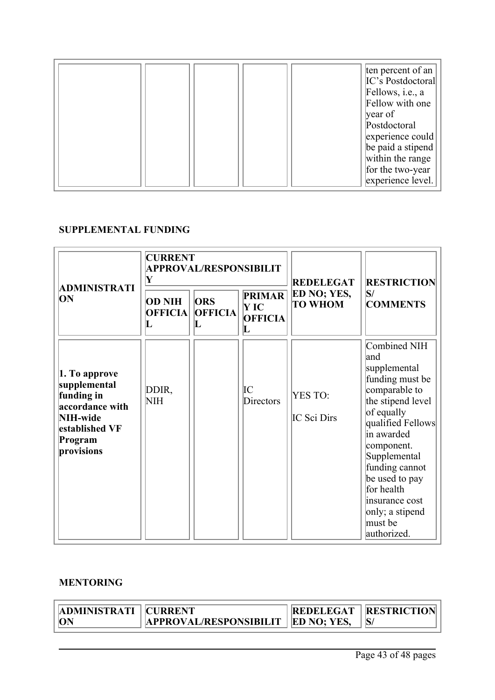|  |  | ten percent of an        |
|--|--|--------------------------|
|  |  | IC's Postdoctoral        |
|  |  | Fellows, <i>i.e.</i> , a |
|  |  | Fellow with one          |
|  |  | year of                  |
|  |  | Postdoctoral             |
|  |  | experience could         |
|  |  | be paid a stipend        |
|  |  | within the range         |
|  |  | for the two-year         |
|  |  | experience level.        |

#### **SUPPLEMENTAL FUNDING**

|                                                                                                                       | <b>CURRENT</b><br>Y                  | <b>APPROVAL/RESPONSIBILIT</b>     |                                              | <b>REDELEGAT</b>              | <b>RESTRICTION</b>                                                                                                                                                                                                                                                                              |
|-----------------------------------------------------------------------------------------------------------------------|--------------------------------------|-----------------------------------|----------------------------------------------|-------------------------------|-------------------------------------------------------------------------------------------------------------------------------------------------------------------------------------------------------------------------------------------------------------------------------------------------|
| ADMINISTRATI<br>ON                                                                                                    | <b>OD NIH</b><br><b>OFFICIA</b><br>L | <b>ORS</b><br><b>OFFICIA</b><br>L | <b>PRIMAR</b><br>Y IC<br><b>OFFICIA</b><br>L | ED NO; YES,<br><b>TO WHOM</b> | S <br><b>COMMENTS</b>                                                                                                                                                                                                                                                                           |
| 1. To approve<br>supplemental<br>funding in<br>accordance with<br>NIH-wide<br>established VF<br>Program<br>provisions | DDIR,<br>NIH                         |                                   | IC<br>Directors                              | YES TO:<br>IC Sci Dirs        | Combined NIH<br>land<br>supplemental<br>funding must be<br>comparable to<br>the stipend level<br>$of$ equally<br>qualified Fellows<br>in awarded<br>component.<br>Supplemental<br>funding cannot<br>be used to pay<br>for health<br>insurance cost<br>only; a stipend<br>must be<br>authorized. |

#### **MENTORING**

| <b>ADMINISTRATI   CURRENT</b> |                                      | <b>REDELEGAT   RESTRICTION</b> |
|-------------------------------|--------------------------------------|--------------------------------|
| ON                            | APPROVAL/RESPONSIBILIT   ED NO; YES, |                                |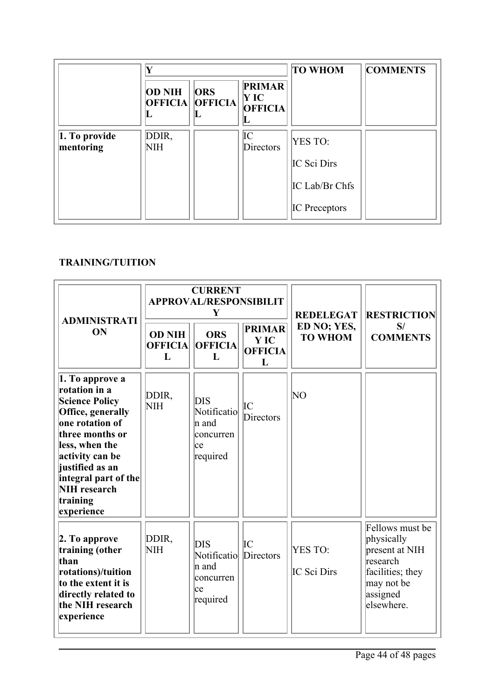|                                | Y                   |                                      |                                                | <b>TO WHOM</b>       | <b>COMMENTS</b> |
|--------------------------------|---------------------|--------------------------------------|------------------------------------------------|----------------------|-----------------|
|                                | <b>OD NIH</b><br>ш  | <b>ORS</b><br><b>OFFICIA OFFICIA</b> | <b>PRIMAR</b><br>$\bf{Y}$ IC<br><b>OFFICIA</b> |                      |                 |
| $ 1. T_0$ provide<br>mentoring | DDIR,<br><b>NIH</b> |                                      | IC<br>Directors                                | YES TO:              |                 |
|                                |                     |                                      |                                                | IC Sci Dirs          |                 |
|                                |                     |                                      |                                                | IC Lab/Br Chfs       |                 |
|                                |                     |                                      |                                                | <b>IC</b> Preceptors |                 |

## **TRAINING/TUITION**

| <b>ADMINISTRATI</b><br>ON                                                                                                                                                                                                                                     | <b>CURRENT</b><br><b>APPROVAL/RESPONSIBILIT</b><br>Y |                                                              |                                                    | <b>REDELEGAT</b>              | <b>RESTRICTION</b>                                                                                                       |
|---------------------------------------------------------------------------------------------------------------------------------------------------------------------------------------------------------------------------------------------------------------|------------------------------------------------------|--------------------------------------------------------------|----------------------------------------------------|-------------------------------|--------------------------------------------------------------------------------------------------------------------------|
|                                                                                                                                                                                                                                                               | <b>OD NIH</b><br><b>OFFICIA</b><br>L                 | <b>ORS</b><br><b>OFFICIA</b><br>L                            | <b>PRIMAR</b><br><b>YIC</b><br><b>OFFICIA</b><br>L | ED NO; YES,<br><b>TO WHOM</b> | S/<br><b>COMMENTS</b>                                                                                                    |
| 1. To approve a<br>rotation in a<br><b>Science Policy</b><br>Office, generally<br>one rotation of<br>three months or<br>less, when the<br>activity can be<br>justified as an<br>$ $ integral part of the $ $<br><b>NIH</b> research<br>training<br>experience | DDIR,<br><b>NIH</b>                                  | DIS<br>Notificatio<br>∣n and<br>concurren<br>lce<br>required | IC<br>Directors                                    | NΟ                            |                                                                                                                          |
| 2. To approve<br>training (other<br>than<br>rotations)/tuition<br>to the extent it is<br>directly related to<br>the NIH research<br>experience                                                                                                                | DDIR,<br><b>NIH</b>                                  | DIS<br>Notificatio<br>∣n and<br>concurren<br>lce<br>required | IС<br>Directors                                    | <b>YES TO:</b><br>IC Sci Dirs | Fellows must be<br>physically<br>present at NIH<br>research<br>facilities; they<br>may not be<br>assigned<br>lelsewhere. |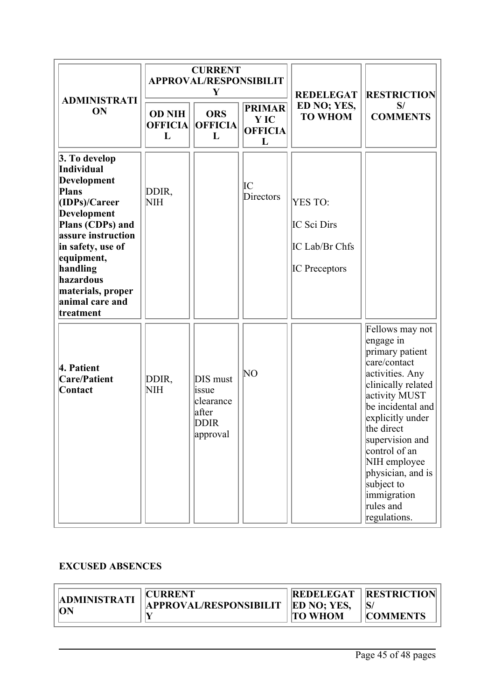| <b>ADMINISTRATI</b><br>ON                                                                                                                                                                                                                      | <b>CURRENT</b><br><b>APPROVAL/RESPONSIBILIT</b><br>Y |                                                                    |                                              | <b>REDELEGAT</b>                                                 | <b>RESTRICTION</b>                                                                                                                                                                                                                                                                                                  |
|------------------------------------------------------------------------------------------------------------------------------------------------------------------------------------------------------------------------------------------------|------------------------------------------------------|--------------------------------------------------------------------|----------------------------------------------|------------------------------------------------------------------|---------------------------------------------------------------------------------------------------------------------------------------------------------------------------------------------------------------------------------------------------------------------------------------------------------------------|
|                                                                                                                                                                                                                                                | <b>OD NIH</b><br><b>OFFICIA</b><br>L                 | <b>ORS</b><br><b>OFFICIA</b><br>L                                  | <b>PRIMAR</b><br>Y IC<br><b>OFFICIA</b><br>L | ED NO; YES,<br><b>TO WHOM</b>                                    | S/<br><b>COMMENTS</b>                                                                                                                                                                                                                                                                                               |
| 3. To develop<br>Individual<br>Development<br>Plans<br>(IDPs)/Career<br>Development<br>Plans (CDPs) and<br>assure instruction<br>in safety, use of<br>equipment,<br>handling<br>hazardous<br>materials, proper<br>animal care and<br>treatment | DDIR,<br><b>NIH</b>                                  |                                                                    | IC<br>Directors                              | YES TO:<br>IC Sci Dirs<br>IC Lab/Br Chfs<br><b>IC</b> Preceptors |                                                                                                                                                                                                                                                                                                                     |
| 4. Patient<br><b>Care/Patient</b><br>Contact                                                                                                                                                                                                   | DDIR,<br><b>NIH</b>                                  | DIS must<br>issue<br>clearance<br>after<br><b>DDIR</b><br>approval | ΝO                                           |                                                                  | Fellows may not<br>engage in<br>primary patient<br>care/contact<br>activities. Any<br>clinically related<br>activity MUST<br>be incidental and<br>explicitly under<br>the direct<br>supervision and<br>control of an<br>NIH employee<br>physician, and is<br>subject to<br>immigration<br>rules and<br>regulations. |

#### **EXCUSED ABSENCES**

| <b>ADMINISTRATI</b> | <b>CURRENT</b>                              | <b>REDELEGAT</b> | <b>ERESTRICTION</b> |
|---------------------|---------------------------------------------|------------------|---------------------|
|                     | <b>APPROVAL/RESPONSIBILIT   ED NO; YES,</b> |                  |                     |
| <b>ON</b>           |                                             | <b>TO WHOM</b>   | <b>COMMENTS</b>     |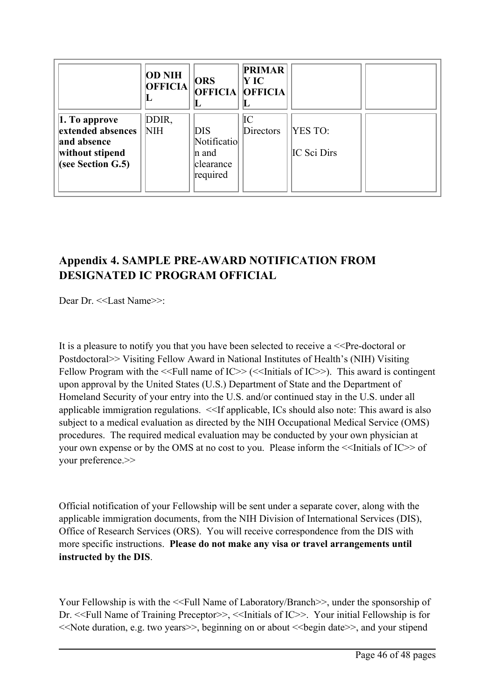|                       | <b>OD NIH</b><br><b>OFFICIA</b><br>ய | <b>ORS</b><br><b>OFFICIA OFFICIA</b> | <b>PRIMAR</b><br>Y IC |                    |  |
|-----------------------|--------------------------------------|--------------------------------------|-----------------------|--------------------|--|
| $\vert 1.$ To approve | DDIR,                                |                                      | IC                    |                    |  |
| extended absences     | <b>NIH</b>                           | <b>DIS</b>                           | Directors             | <b>YES TO:</b>     |  |
| and absence           |                                      | Notificatio                          |                       |                    |  |
| without stipend       |                                      | n and                                |                       | <b>IC Sci Dirs</b> |  |
| (see Section $G.5$ )  |                                      | clearance                            |                       |                    |  |
|                       |                                      | required                             |                       |                    |  |
|                       |                                      |                                      |                       |                    |  |

## **Appendix 4. SAMPLE PRE-AWARD NOTIFICATION FROM DESIGNATED IC PROGRAM OFFICIAL**

Dear Dr. <<Last Name>>:

It is a pleasure to notify you that you have been selected to receive a  $\leq$ Pre-doctoral or Postdoctoral>> Visiting Fellow Award in National Institutes of Health'<sup>s</sup> (NIH) Visiting Fellow Program with the  $\le$ Full name of IC>> ( $\le$ Initials of IC>>). This award is contingent upon approval by the United States (U.S.) Department of State and the Department of Homeland Security of your entry into the U.S. and/or continued stay in the U.S. under all applicable immigration regulations. <<If applicable, ICs should also note: This award is also subject to <sup>a</sup> medical evaluation as directed by the NIH Occupational Medical Service (OMS) procedures. The required medical evaluation may be conducted by your own physician at your own expense or by the OMS at no cost to you. Please inform the  $\le$ Initials of IC>> of your preference.>>

Official notification of your Fellowship will be sent under <sup>a</sup> separate cover, along with the applicable immigration documents, from the NIH Division of International Services (DIS), Office of Research Services (ORS). You will receive correspondence from the DIS with more specific instructions. **Please do not make any visa or travel arrangements until instructed by the DIS**.

Your Fellowship is with the  $\le$ Full Name of Laboratory/Branch  $\ge$ , under the sponsorship of Dr. <<Full Name of Training Preceptor>>, <<Initials of IC>>. Your initial Fellowship is for <<Note duration, e.g. two years>>, beginning on or about <<begin date>>, and your stipend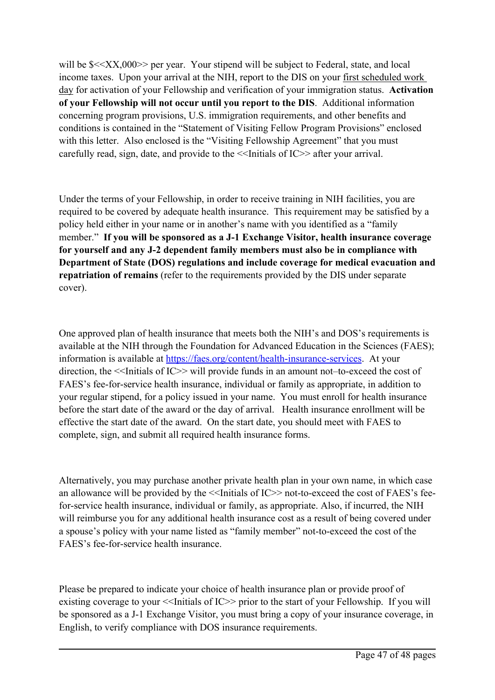will be  $\frac{\sqrt{2}}{2}$  will be  $\frac{\sqrt{2}}{2}$  per year. Your stipend will be subject to Federal, state, and local income taxes. Upon your arrival at the NIH, repor<sup>t</sup> to the DIS on your first scheduled work day for activation of your Fellowship and verification of your immigration status. **Activation of your Fellowship will not occur until you repor<sup>t</sup> to the DIS**. Additional information concerning program provisions, U.S. immigration requirements, and other benefits and conditions is contained in the "Statement of Visiting Fellow Program Provisions" enclosed with this letter. Also enclosed is the "Visiting Fellowship Agreement" that you must carefully read, sign, date, and provide to the <<Initials of IC>> after your arrival.

Under the terms of your Fellowship, in order to receive training in NIH facilities, you are required to be covered by adequate health insurance. This requirement may be satisfied by <sup>a</sup> policy held either in your name or in another'<sup>s</sup> name with you identified as <sup>a</sup> "family member." **If you will be sponsored as <sup>a</sup> J-1 Exchange Visitor, health insurance coverage for yourself and any J-2 dependent family members must also be in compliance with Department of State (DOS) regulations and include coverage for medical evacuation and repatriation of remains** (refer to the requirements provided by the DIS under separate cover).

One approved plan of health insurance that meets both the NIH'<sup>s</sup> and DOS'<sup>s</sup> requirements is available at the NIH through the Foundation for Advanced Education in the Sciences (FAES); information is available at <https://faes.org/content/health-insurance-services>. At your direction, the  $\le$ Initials of IC>> will provide funds in an amount not–to-exceed the cost of FAES'<sup>s</sup> fee-for-service health insurance, individual or family as appropriate, in addition to your regular stipend, for <sup>a</sup> policy issued in your name. You must enroll for health insurance before the start date of the award or the day of arrival. Health insurance enrollment will be effective the start date of the award. On the start date, you should meet with FAES to complete, sign, and submit all required health insurance forms.

Alternatively, you may purchase another private health plan in your own name, in which case an allowance will be provided by the  $\le$ Initials of IC>> not-to-exceed the cost of FAES's feefor-service health insurance, individual or family, as appropriate. Also, if incurred, the NIH will reimburse you for any additional health insurance cost as <sup>a</sup> result of being covered under <sup>a</sup> spouse'<sup>s</sup> policy with your name listed as "family member" not-to-exceed the cost of the FAES'<sup>s</sup> fee-for-service health insurance.

Please be prepared to indicate your choice of health insurance plan or provide proof of existing coverage to your  $\le$ Initials of IC>> prior to the start of your Fellowship. If you will be sponsored as <sup>a</sup> J-1 Exchange Visitor, you must bring <sup>a</sup> copy of your insurance coverage, in English, to verify compliance with DOS insurance requirements.